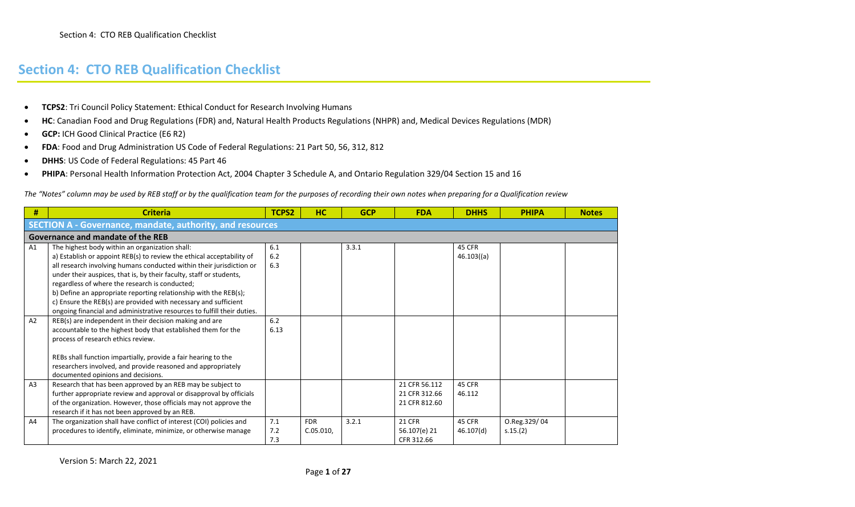- **TCPS2**: Tri Council Policy Statement: Ethical Conduct for Research Involving Humans
- **HC**: Canadian Food and Drug Regulations (FDR) and, Natural Health Products Regulations (NHPR) and, Medical Devices Regulations (MDR)
- **GCP:** ICH Good Clinical Practice (E6 R2)
- **FDA**: Food and Drug Administration US Code of Federal Regulations: 21 Part 50, 56, 312, 812
- **DHHS**: US Code of Federal Regulations: 45 Part 46
- **PHIPA**: Personal Health Information Protection Act, 2004 Chapter 3 Schedule A, and Ontario Regulation 329/04 Section 15 and 16

*The "Notes" column may be used by REB staff or by the qualification team for the purposes of recording their own notes when preparing for a Qualification review* 

| #              | <b>Criteria</b>                                                         | TCPS2 | HC         | <b>GCP</b> | <b>FDA</b>    | <b>DHHS</b>   | <b>PHIPA</b> | <b>Notes</b> |
|----------------|-------------------------------------------------------------------------|-------|------------|------------|---------------|---------------|--------------|--------------|
|                | <b>SECTION A - Governance, mandate, authority, and resources</b>        |       |            |            |               |               |              |              |
|                | Governance and mandate of the REB                                       |       |            |            |               |               |              |              |
| A <sub>1</sub> | The highest body within an organization shall:                          | 6.1   |            | 3.3.1      |               | 45 CFR        |              |              |
|                | a) Establish or appoint REB(s) to review the ethical acceptability of   | 6.2   |            |            |               | $46.103($ (a) |              |              |
|                | all research involving humans conducted within their jurisdiction or    | 6.3   |            |            |               |               |              |              |
|                | under their auspices, that is, by their faculty, staff or students,     |       |            |            |               |               |              |              |
|                | regardless of where the research is conducted;                          |       |            |            |               |               |              |              |
|                | b) Define an appropriate reporting relationship with the REB(s);        |       |            |            |               |               |              |              |
|                | c) Ensure the REB(s) are provided with necessary and sufficient         |       |            |            |               |               |              |              |
|                | ongoing financial and administrative resources to fulfill their duties. |       |            |            |               |               |              |              |
| A2             | REB(s) are independent in their decision making and are                 | 6.2   |            |            |               |               |              |              |
|                | accountable to the highest body that established them for the           | 6.13  |            |            |               |               |              |              |
|                | process of research ethics review.                                      |       |            |            |               |               |              |              |
|                | REBs shall function impartially, provide a fair hearing to the          |       |            |            |               |               |              |              |
|                | researchers involved, and provide reasoned and appropriately            |       |            |            |               |               |              |              |
|                | documented opinions and decisions.                                      |       |            |            |               |               |              |              |
| A <sub>3</sub> | Research that has been approved by an REB may be subject to             |       |            |            | 21 CFR 56.112 | 45 CFR        |              |              |
|                | further appropriate review and approval or disapproval by officials     |       |            |            | 21 CFR 312.66 | 46.112        |              |              |
|                | of the organization. However, those officials may not approve the       |       |            |            | 21 CFR 812.60 |               |              |              |
|                | research if it has not been approved by an REB.                         |       |            |            |               |               |              |              |
| A4             | The organization shall have conflict of interest (COI) policies and     | 7.1   | <b>FDR</b> | 3.2.1      | <b>21 CFR</b> | 45 CFR        | O.Reg.329/04 |              |
|                | procedures to identify, eliminate, minimize, or otherwise manage        | 7.2   | C.05.010,  |            | 56.107(e) 21  | 46.107(d)     | s.15.(2)     |              |
|                |                                                                         | 7.3   |            |            | CFR 312.66    |               |              |              |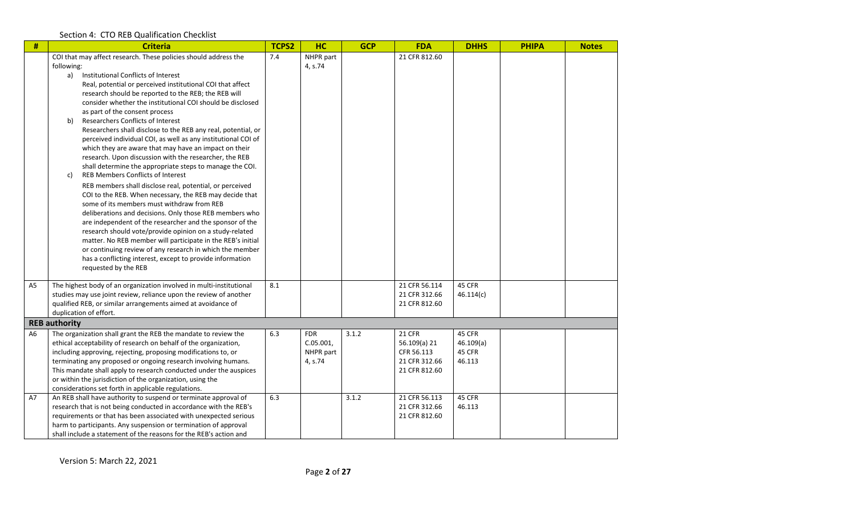| $\#$           | <b>Criteria</b>                                                                                                                                                                                                                                                                                                                                                                                                                                                                                                                                                                                                                                                                                                                                                                                                                                                                                                                                                                                                                                                                                                                                                                                                                                                                                                                       | <b>TCPS2</b> | HC                                              | <b>GCP</b> | <b>FDA</b>                                                                    | <b>DHHS</b>                             | <b>PHIPA</b> | <b>Notes</b> |
|----------------|---------------------------------------------------------------------------------------------------------------------------------------------------------------------------------------------------------------------------------------------------------------------------------------------------------------------------------------------------------------------------------------------------------------------------------------------------------------------------------------------------------------------------------------------------------------------------------------------------------------------------------------------------------------------------------------------------------------------------------------------------------------------------------------------------------------------------------------------------------------------------------------------------------------------------------------------------------------------------------------------------------------------------------------------------------------------------------------------------------------------------------------------------------------------------------------------------------------------------------------------------------------------------------------------------------------------------------------|--------------|-------------------------------------------------|------------|-------------------------------------------------------------------------------|-----------------------------------------|--------------|--------------|
|                | COI that may affect research. These policies should address the<br>following:<br>Institutional Conflicts of Interest<br>a)<br>Real, potential or perceived institutional COI that affect<br>research should be reported to the REB; the REB will<br>consider whether the institutional COI should be disclosed<br>as part of the consent process<br>Researchers Conflicts of Interest<br>b)<br>Researchers shall disclose to the REB any real, potential, or<br>perceived individual COI, as well as any institutional COI of<br>which they are aware that may have an impact on their<br>research. Upon discussion with the researcher, the REB<br>shall determine the appropriate steps to manage the COI.<br><b>REB Members Conflicts of Interest</b><br>c)<br>REB members shall disclose real, potential, or perceived<br>COI to the REB. When necessary, the REB may decide that<br>some of its members must withdraw from REB<br>deliberations and decisions. Only those REB members who<br>are independent of the researcher and the sponsor of the<br>research should vote/provide opinion on a study-related<br>matter. No REB member will participate in the REB's initial<br>or continuing review of any research in which the member<br>has a conflicting interest, except to provide information<br>requested by the REB | 7.4          | NHPR part<br>4, s.74                            |            | 21 CFR 812.60                                                                 |                                         |              |              |
| A <sub>5</sub> | The highest body of an organization involved in multi-institutional<br>studies may use joint review, reliance upon the review of another<br>qualified REB, or similar arrangements aimed at avoidance of<br>duplication of effort.                                                                                                                                                                                                                                                                                                                                                                                                                                                                                                                                                                                                                                                                                                                                                                                                                                                                                                                                                                                                                                                                                                    | 8.1          |                                                 |            | 21 CFR 56.114<br>21 CFR 312.66<br>21 CFR 812.60                               | 45 CFR<br>46.114(c)                     |              |              |
|                | <b>REB authority</b>                                                                                                                                                                                                                                                                                                                                                                                                                                                                                                                                                                                                                                                                                                                                                                                                                                                                                                                                                                                                                                                                                                                                                                                                                                                                                                                  |              |                                                 |            |                                                                               |                                         |              |              |
| A6             | The organization shall grant the REB the mandate to review the<br>ethical acceptability of research on behalf of the organization,<br>including approving, rejecting, proposing modifications to, or<br>terminating any proposed or ongoing research involving humans.<br>This mandate shall apply to research conducted under the auspices<br>or within the jurisdiction of the organization, using the<br>considerations set forth in applicable regulations.                                                                                                                                                                                                                                                                                                                                                                                                                                                                                                                                                                                                                                                                                                                                                                                                                                                                       | 6.3          | <b>FDR</b><br>C.05.001,<br>NHPR part<br>4, s.74 | 3.1.2      | <b>21 CFR</b><br>56.109(a) 21<br>CFR 56.113<br>21 CFR 312.66<br>21 CFR 812.60 | 45 CFR<br>46.109(a)<br>45 CFR<br>46.113 |              |              |
| A7             | An REB shall have authority to suspend or terminate approval of<br>research that is not being conducted in accordance with the REB's<br>requirements or that has been associated with unexpected serious<br>harm to participants. Any suspension or termination of approval<br>shall include a statement of the reasons for the REB's action and                                                                                                                                                                                                                                                                                                                                                                                                                                                                                                                                                                                                                                                                                                                                                                                                                                                                                                                                                                                      | 6.3          |                                                 | 3.1.2      | 21 CFR 56.113<br>21 CFR 312.66<br>21 CFR 812.60                               | 45 CFR<br>46.113                        |              |              |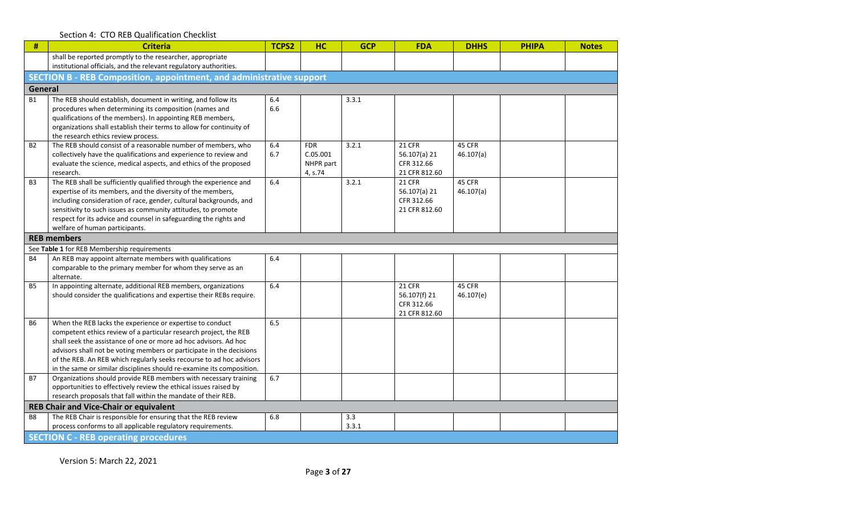| #              | <b>Criteria</b>                                                                                                                           | TCPS2 | <b>HC</b>  | <b>GCP</b> | <b>FDA</b>    | <b>DHHS</b> | <b>PHIPA</b> | <b>Notes</b> |
|----------------|-------------------------------------------------------------------------------------------------------------------------------------------|-------|------------|------------|---------------|-------------|--------------|--------------|
|                | shall be reported promptly to the researcher, appropriate                                                                                 |       |            |            |               |             |              |              |
|                | institutional officials, and the relevant regulatory authorities.                                                                         |       |            |            |               |             |              |              |
|                | SECTION B - REB Composition, appointment, and administrative support                                                                      |       |            |            |               |             |              |              |
| <b>General</b> |                                                                                                                                           |       |            |            |               |             |              |              |
| <b>B1</b>      | The REB should establish, document in writing, and follow its                                                                             | 6.4   |            | 3.3.1      |               |             |              |              |
|                | procedures when determining its composition (names and                                                                                    | 6.6   |            |            |               |             |              |              |
|                | qualifications of the members). In appointing REB members,                                                                                |       |            |            |               |             |              |              |
|                | organizations shall establish their terms to allow for continuity of                                                                      |       |            |            |               |             |              |              |
| <b>B2</b>      | the research ethics review process.<br>The REB should consist of a reasonable number of members, who                                      | 6.4   | <b>FDR</b> | 3.2.1      | <b>21 CFR</b> | 45 CFR      |              |              |
|                | collectively have the qualifications and experience to review and                                                                         | 6.7   | C.05.001   |            | 56.107(a) 21  | 46.107(a)   |              |              |
|                | evaluate the science, medical aspects, and ethics of the proposed                                                                         |       | NHPR part  |            | CFR 312.66    |             |              |              |
|                | research.                                                                                                                                 |       | 4, s.74    |            | 21 CFR 812.60 |             |              |              |
| B <sub>3</sub> | The REB shall be sufficiently qualified through the experience and                                                                        | 6.4   |            | 3.2.1      | <b>21 CFR</b> | 45 CFR      |              |              |
|                | expertise of its members, and the diversity of the members,                                                                               |       |            |            | 56.107(a) 21  | 46.107(a)   |              |              |
|                | including consideration of race, gender, cultural backgrounds, and                                                                        |       |            |            | CFR 312.66    |             |              |              |
|                | sensitivity to such issues as community attitudes, to promote                                                                             |       |            |            | 21 CFR 812.60 |             |              |              |
|                | respect for its advice and counsel in safeguarding the rights and                                                                         |       |            |            |               |             |              |              |
|                | welfare of human participants.                                                                                                            |       |            |            |               |             |              |              |
|                | <b>REB members</b>                                                                                                                        |       |            |            |               |             |              |              |
|                | See Table 1 for REB Membership requirements                                                                                               |       |            |            |               |             |              |              |
| <b>B4</b>      | An REB may appoint alternate members with qualifications<br>comparable to the primary member for whom they serve as an                    | 6.4   |            |            |               |             |              |              |
|                | alternate.                                                                                                                                |       |            |            |               |             |              |              |
| <b>B5</b>      | In appointing alternate, additional REB members, organizations                                                                            | 6.4   |            |            | <b>21 CFR</b> | 45 CFR      |              |              |
|                | should consider the qualifications and expertise their REBs require.                                                                      |       |            |            | 56.107(f) 21  | 46.107(e)   |              |              |
|                |                                                                                                                                           |       |            |            | CFR 312.66    |             |              |              |
|                |                                                                                                                                           |       |            |            | 21 CFR 812.60 |             |              |              |
| <b>B6</b>      | When the REB lacks the experience or expertise to conduct                                                                                 | 6.5   |            |            |               |             |              |              |
|                | competent ethics review of a particular research project, the REB                                                                         |       |            |            |               |             |              |              |
|                | shall seek the assistance of one or more ad hoc advisors. Ad hoc                                                                          |       |            |            |               |             |              |              |
|                | advisors shall not be voting members or participate in the decisions                                                                      |       |            |            |               |             |              |              |
|                | of the REB. An REB which regularly seeks recourse to ad hoc advisors                                                                      |       |            |            |               |             |              |              |
| <b>B7</b>      | in the same or similar disciplines should re-examine its composition.<br>Organizations should provide REB members with necessary training | 6.7   |            |            |               |             |              |              |
|                | opportunities to effectively review the ethical issues raised by                                                                          |       |            |            |               |             |              |              |
|                | research proposals that fall within the mandate of their REB.                                                                             |       |            |            |               |             |              |              |
|                | <b>REB Chair and Vice-Chair or equivalent</b>                                                                                             |       |            |            |               |             |              |              |
| B <sub>8</sub> | The REB Chair is responsible for ensuring that the REB review                                                                             | 6.8   |            | 3.3        |               |             |              |              |
|                | process conforms to all applicable regulatory requirements.                                                                               |       |            | 3.3.1      |               |             |              |              |
|                | <b>SECTION C - REB operating procedures</b>                                                                                               |       |            |            |               |             |              |              |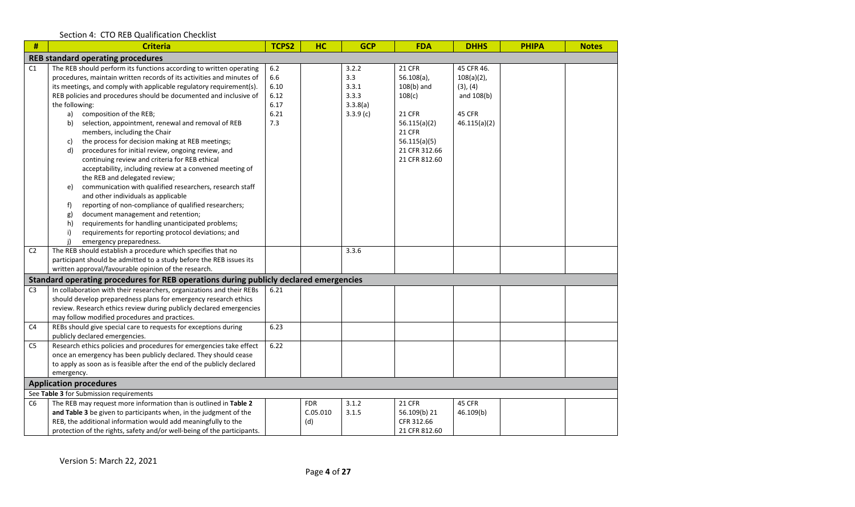| #              | <b>Criteria</b>                                                                                                                                                                                                                                                                                                                                                                                                                                                                                                                                                                                                                                                                                                                                                                                                                                                                                                                                                                                                                                    | <b>TCPS2</b>                                        | <b>HC</b>                     | <b>GCP</b>                                             | <b>FDA</b>                                                                                                                                                   | <b>DHHS</b>                                                                            | <b>PHIPA</b> | <b>Notes</b> |
|----------------|----------------------------------------------------------------------------------------------------------------------------------------------------------------------------------------------------------------------------------------------------------------------------------------------------------------------------------------------------------------------------------------------------------------------------------------------------------------------------------------------------------------------------------------------------------------------------------------------------------------------------------------------------------------------------------------------------------------------------------------------------------------------------------------------------------------------------------------------------------------------------------------------------------------------------------------------------------------------------------------------------------------------------------------------------|-----------------------------------------------------|-------------------------------|--------------------------------------------------------|--------------------------------------------------------------------------------------------------------------------------------------------------------------|----------------------------------------------------------------------------------------|--------------|--------------|
|                | <b>REB standard operating procedures</b>                                                                                                                                                                                                                                                                                                                                                                                                                                                                                                                                                                                                                                                                                                                                                                                                                                                                                                                                                                                                           |                                                     |                               |                                                        |                                                                                                                                                              |                                                                                        |              |              |
| C1             | The REB should perform its functions according to written operating<br>procedures, maintain written records of its activities and minutes of<br>its meetings, and comply with applicable regulatory requirement(s).<br>REB policies and procedures should be documented and inclusive of<br>the following:<br>composition of the REB;<br>a)<br>selection, appointment, renewal and removal of REB<br>b)<br>members, including the Chair<br>the process for decision making at REB meetings;<br>C)<br>d)<br>procedures for initial review, ongoing review, and<br>continuing review and criteria for REB ethical<br>acceptability, including review at a convened meeting of<br>the REB and delegated review;<br>communication with qualified researchers, research staff<br>e)<br>and other individuals as applicable<br>reporting of non-compliance of qualified researchers;<br>f)<br>document management and retention;<br>g)<br>requirements for handling unanticipated problems;<br>h)<br>requirements for reporting protocol deviations; and | $6.2$<br>6.6<br>6.10<br>6.12<br>6.17<br>6.21<br>7.3 |                               | 3.2.2<br>3.3<br>3.3.1<br>3.3.3<br>3.3.8(a)<br>3.3.9(c) | <b>21 CFR</b><br>$56.108(a)$ ,<br>$108(b)$ and<br>108(c)<br><b>21 CFR</b><br>56.115(a)(2)<br><b>21 CFR</b><br>56.115(a)(5)<br>21 CFR 312.66<br>21 CFR 812.60 | 45 CFR 46.<br>$108(a)(2)$ ,<br>(3), (4)<br>and 108(b)<br><b>45 CFR</b><br>46.115(a)(2) |              |              |
| C <sub>2</sub> | emergency preparedness.<br>The REB should establish a procedure which specifies that no<br>participant should be admitted to a study before the REB issues its<br>written approval/favourable opinion of the research.                                                                                                                                                                                                                                                                                                                                                                                                                                                                                                                                                                                                                                                                                                                                                                                                                             |                                                     |                               | 3.3.6                                                  |                                                                                                                                                              |                                                                                        |              |              |
|                | Standard operating procedures for REB operations during publicly declared emergencies                                                                                                                                                                                                                                                                                                                                                                                                                                                                                                                                                                                                                                                                                                                                                                                                                                                                                                                                                              |                                                     |                               |                                                        |                                                                                                                                                              |                                                                                        |              |              |
| C <sub>3</sub> | In collaboration with their researchers, organizations and their REBs<br>should develop preparedness plans for emergency research ethics<br>review. Research ethics review during publicly declared emergencies<br>may follow modified procedures and practices.                                                                                                                                                                                                                                                                                                                                                                                                                                                                                                                                                                                                                                                                                                                                                                                   | 6.21                                                |                               |                                                        |                                                                                                                                                              |                                                                                        |              |              |
| C <sub>4</sub> | REBs should give special care to requests for exceptions during<br>publicly declared emergencies.                                                                                                                                                                                                                                                                                                                                                                                                                                                                                                                                                                                                                                                                                                                                                                                                                                                                                                                                                  | 6.23                                                |                               |                                                        |                                                                                                                                                              |                                                                                        |              |              |
| C5             | Research ethics policies and procedures for emergencies take effect<br>once an emergency has been publicly declared. They should cease<br>to apply as soon as is feasible after the end of the publicly declared<br>emergency.                                                                                                                                                                                                                                                                                                                                                                                                                                                                                                                                                                                                                                                                                                                                                                                                                     | 6.22                                                |                               |                                                        |                                                                                                                                                              |                                                                                        |              |              |
|                | <b>Application procedures</b>                                                                                                                                                                                                                                                                                                                                                                                                                                                                                                                                                                                                                                                                                                                                                                                                                                                                                                                                                                                                                      |                                                     |                               |                                                        |                                                                                                                                                              |                                                                                        |              |              |
|                | See Table 3 for Submission requirements                                                                                                                                                                                                                                                                                                                                                                                                                                                                                                                                                                                                                                                                                                                                                                                                                                                                                                                                                                                                            |                                                     |                               |                                                        |                                                                                                                                                              |                                                                                        |              |              |
| C <sub>6</sub> | The REB may request more information than is outlined in Table 2<br>and Table 3 be given to participants when, in the judgment of the<br>REB, the additional information would add meaningfully to the<br>protection of the rights, safety and/or well-being of the participants.                                                                                                                                                                                                                                                                                                                                                                                                                                                                                                                                                                                                                                                                                                                                                                  |                                                     | <b>FDR</b><br>C.05.010<br>(d) | 3.1.2<br>3.1.5                                         | <b>21 CFR</b><br>56.109(b) 21<br>CFR 312.66<br>21 CFR 812.60                                                                                                 | 45 CFR<br>46.109(b)                                                                    |              |              |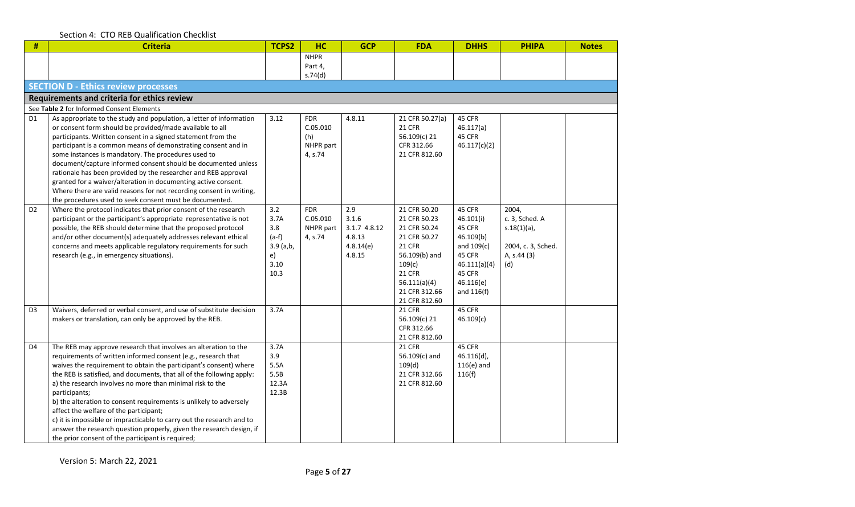| #              | <b>Criteria</b>                                                                                                                                                                                                                                                                                                                                                                                                                                                                                                                                                                                                                                                                    | TCPS2                                                              | <b>HC</b>                                             | <b>GCP</b>                                                    | <b>FDA</b>                                                                                                                                                                  | <b>DHHS</b>                                                                                                                 | <b>PHIPA</b>                                                                          | <b>Notes</b> |
|----------------|------------------------------------------------------------------------------------------------------------------------------------------------------------------------------------------------------------------------------------------------------------------------------------------------------------------------------------------------------------------------------------------------------------------------------------------------------------------------------------------------------------------------------------------------------------------------------------------------------------------------------------------------------------------------------------|--------------------------------------------------------------------|-------------------------------------------------------|---------------------------------------------------------------|-----------------------------------------------------------------------------------------------------------------------------------------------------------------------------|-----------------------------------------------------------------------------------------------------------------------------|---------------------------------------------------------------------------------------|--------------|
|                |                                                                                                                                                                                                                                                                                                                                                                                                                                                                                                                                                                                                                                                                                    |                                                                    | <b>NHPR</b>                                           |                                                               |                                                                                                                                                                             |                                                                                                                             |                                                                                       |              |
|                |                                                                                                                                                                                                                                                                                                                                                                                                                                                                                                                                                                                                                                                                                    |                                                                    | Part 4,<br>s.74(d)                                    |                                                               |                                                                                                                                                                             |                                                                                                                             |                                                                                       |              |
|                | <b>SECTION D - Ethics review processes</b>                                                                                                                                                                                                                                                                                                                                                                                                                                                                                                                                                                                                                                         |                                                                    |                                                       |                                                               |                                                                                                                                                                             |                                                                                                                             |                                                                                       |              |
|                | Requirements and criteria for ethics review                                                                                                                                                                                                                                                                                                                                                                                                                                                                                                                                                                                                                                        |                                                                    |                                                       |                                                               |                                                                                                                                                                             |                                                                                                                             |                                                                                       |              |
|                | See Table 2 for Informed Consent Elements                                                                                                                                                                                                                                                                                                                                                                                                                                                                                                                                                                                                                                          |                                                                    |                                                       |                                                               |                                                                                                                                                                             |                                                                                                                             |                                                                                       |              |
| D1             | As appropriate to the study and population, a letter of information<br>or consent form should be provided/made available to all<br>participants. Written consent in a signed statement from the<br>participant is a common means of demonstrating consent and in<br>some instances is mandatory. The procedures used to<br>document/capture informed consent should be documented unless<br>rationale has been provided by the researcher and REB approval<br>granted for a waiver/alteration in documenting active consent.                                                                                                                                                       | 3.12                                                               | <b>FDR</b><br>C.05.010<br>(h)<br>NHPR part<br>4, s.74 | 4.8.11                                                        | 21 CFR 50.27(a)<br><b>21 CFR</b><br>56.109(c) 21<br>CFR 312.66<br>21 CFR 812.60                                                                                             | 45 CFR<br>46.117(a)<br>45 CFR<br>46.117(c)(2)                                                                               |                                                                                       |              |
| D <sub>2</sub> | Where there are valid reasons for not recording consent in writing,<br>the procedures used to seek consent must be documented.<br>Where the protocol indicates that prior consent of the research<br>participant or the participant's appropriate representative is not<br>possible, the REB should determine that the proposed protocol<br>and/or other document(s) adequately addresses relevant ethical<br>concerns and meets applicable regulatory requirements for such<br>research (e.g., in emergency situations).                                                                                                                                                          | 3.2<br>3.7A<br>3.8<br>$(a-f)$<br>$3.9$ (a,b,<br>e)<br>3.10<br>10.3 | <b>FDR</b><br>C.05.010<br>NHPR part<br>4, s.74        | 2.9<br>3.1.6<br>3.1.7 4.8.12<br>4.8.13<br>4.8.14(e)<br>4.8.15 | 21 CFR 50.20<br>21 CFR 50.23<br>21 CFR 50.24<br>21 CFR 50.27<br><b>21 CFR</b><br>56.109(b) and<br>109(c)<br><b>21 CFR</b><br>56.111(a)(4)<br>21 CFR 312.66<br>21 CFR 812.60 | 45 CFR<br>46.101(i)<br>45 CFR<br>46.109(b)<br>and $109(c)$<br>45 CFR<br>46.111(a)(4)<br>45 CFR<br>46.116(e)<br>and $116(f)$ | 2004,<br>c. 3, Sched. A<br>$s.18(1)(a)$ ,<br>2004, c. 3, Sched.<br>A, s.44 (3)<br>(d) |              |
| D <sub>3</sub> | Waivers, deferred or verbal consent, and use of substitute decision<br>makers or translation, can only be approved by the REB.                                                                                                                                                                                                                                                                                                                                                                                                                                                                                                                                                     | 3.7A                                                               |                                                       |                                                               | <b>21 CFR</b><br>56.109(c) 21<br>CFR 312.66<br>21 CFR 812.60                                                                                                                | 45 CFR<br>46.109(c)                                                                                                         |                                                                                       |              |
| D <sub>4</sub> | The REB may approve research that involves an alteration to the<br>requirements of written informed consent (e.g., research that<br>waives the requirement to obtain the participant's consent) where<br>the REB is satisfied, and documents, that all of the following apply:<br>a) the research involves no more than minimal risk to the<br>participants;<br>b) the alteration to consent requirements is unlikely to adversely<br>affect the welfare of the participant;<br>c) it is impossible or impracticable to carry out the research and to<br>answer the research question properly, given the research design, if<br>the prior consent of the participant is required; | 3.7A<br>3.9<br>5.5A<br>5.5B<br>12.3A<br>12.3B                      |                                                       |                                                               | <b>21 CFR</b><br>56.109(c) and<br>109(d)<br>21 CFR 312.66<br>21 CFR 812.60                                                                                                  | 45 CFR<br>$46.116(d)$ ,<br>$116(e)$ and<br>116(f)                                                                           |                                                                                       |              |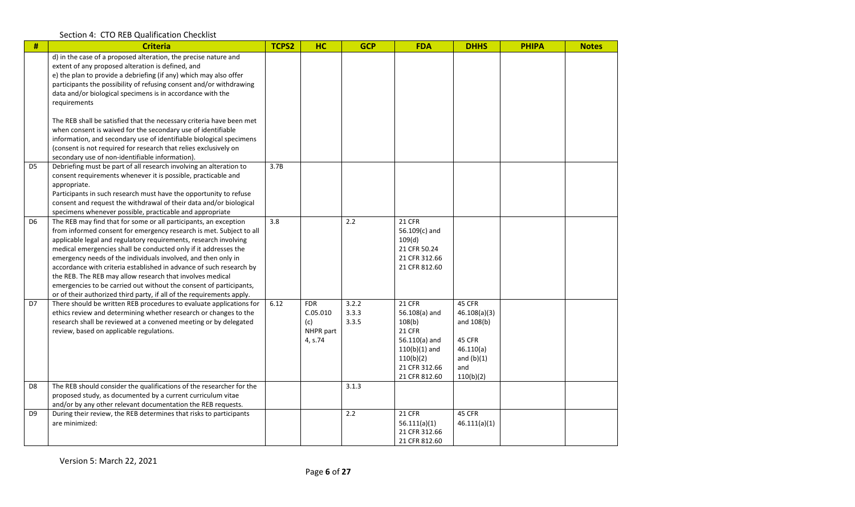| #              | <b>Criteria</b>                                                                                                                                                                                                                                                                                                                | <b>TCPS2</b> | HC                     | <b>GCP</b>     | <b>FDA</b>                     | <b>DHHS</b>            | <b>PHIPA</b> | <b>Notes</b> |
|----------------|--------------------------------------------------------------------------------------------------------------------------------------------------------------------------------------------------------------------------------------------------------------------------------------------------------------------------------|--------------|------------------------|----------------|--------------------------------|------------------------|--------------|--------------|
|                | d) in the case of a proposed alteration, the precise nature and<br>extent of any proposed alteration is defined, and<br>e) the plan to provide a debriefing (if any) which may also offer<br>participants the possibility of refusing consent and/or withdrawing<br>data and/or biological specimens is in accordance with the |              |                        |                |                                |                        |              |              |
|                | requirements                                                                                                                                                                                                                                                                                                                   |              |                        |                |                                |                        |              |              |
|                | The REB shall be satisfied that the necessary criteria have been met<br>when consent is waived for the secondary use of identifiable                                                                                                                                                                                           |              |                        |                |                                |                        |              |              |
|                | information, and secondary use of identifiable biological specimens                                                                                                                                                                                                                                                            |              |                        |                |                                |                        |              |              |
|                | (consent is not required for research that relies exclusively on<br>secondary use of non-identifiable information).                                                                                                                                                                                                            |              |                        |                |                                |                        |              |              |
| D <sub>5</sub> | Debriefing must be part of all research involving an alteration to<br>consent requirements whenever it is possible, practicable and                                                                                                                                                                                            | 3.7B         |                        |                |                                |                        |              |              |
|                | appropriate.<br>Participants in such research must have the opportunity to refuse                                                                                                                                                                                                                                              |              |                        |                |                                |                        |              |              |
|                | consent and request the withdrawal of their data and/or biological                                                                                                                                                                                                                                                             |              |                        |                |                                |                        |              |              |
| D <sub>6</sub> | specimens whenever possible, practicable and appropriate<br>The REB may find that for some or all participants, an exception                                                                                                                                                                                                   | 3.8          |                        | 2.2            | <b>21 CFR</b>                  |                        |              |              |
|                | from informed consent for emergency research is met. Subject to all                                                                                                                                                                                                                                                            |              |                        |                | 56.109(c) and                  |                        |              |              |
|                | applicable legal and regulatory requirements, research involving<br>medical emergencies shall be conducted only if it addresses the                                                                                                                                                                                            |              |                        |                | 109(d)<br>21 CFR 50.24         |                        |              |              |
|                | emergency needs of the individuals involved, and then only in                                                                                                                                                                                                                                                                  |              |                        |                | 21 CFR 312.66                  |                        |              |              |
|                | accordance with criteria established in advance of such research by<br>the REB. The REB may allow research that involves medical                                                                                                                                                                                               |              |                        |                | 21 CFR 812.60                  |                        |              |              |
|                | emergencies to be carried out without the consent of participants,                                                                                                                                                                                                                                                             |              |                        |                |                                |                        |              |              |
|                | or of their authorized third party, if all of the requirements apply.                                                                                                                                                                                                                                                          |              |                        |                |                                |                        |              |              |
| D7             | There should be written REB procedures to evaluate applications for<br>ethics review and determining whether research or changes to the                                                                                                                                                                                        | 6.12         | <b>FDR</b><br>C.05.010 | 3.2.2<br>3.3.3 | 21 CFR<br>56.108(a) and        | 45 CFR<br>46.108(a)(3) |              |              |
|                | research shall be reviewed at a convened meeting or by delegated                                                                                                                                                                                                                                                               |              | (c)                    | 3.3.5          | 108(b)                         | and 108(b)             |              |              |
|                | review, based on applicable regulations.                                                                                                                                                                                                                                                                                       |              | NHPR part              |                | <b>21 CFR</b><br>56.110(a) and | 45 CFR                 |              |              |
|                |                                                                                                                                                                                                                                                                                                                                |              | 4, s.74                |                | $110(b)(1)$ and                | 46.110(a)              |              |              |
|                |                                                                                                                                                                                                                                                                                                                                |              |                        |                | 110(b)(2)                      | and $(b)(1)$           |              |              |
|                |                                                                                                                                                                                                                                                                                                                                |              |                        |                | 21 CFR 312.66<br>21 CFR 812.60 | and<br>110(b)(2)       |              |              |
| D <sub>8</sub> | The REB should consider the qualifications of the researcher for the                                                                                                                                                                                                                                                           |              |                        | 3.1.3          |                                |                        |              |              |
|                | proposed study, as documented by a current curriculum vitae<br>and/or by any other relevant documentation the REB requests.                                                                                                                                                                                                    |              |                        |                |                                |                        |              |              |
| D <sub>9</sub> | During their review, the REB determines that risks to participants                                                                                                                                                                                                                                                             |              |                        | 2.2            | 21 CFR                         | 45 CFR                 |              |              |
|                | are minimized:                                                                                                                                                                                                                                                                                                                 |              |                        |                | 56.111(a)(1)                   | 46.111(a)(1)           |              |              |
|                |                                                                                                                                                                                                                                                                                                                                |              |                        |                | 21 CFR 312.66                  |                        |              |              |
|                |                                                                                                                                                                                                                                                                                                                                |              |                        |                | 21 CFR 812.60                  |                        |              |              |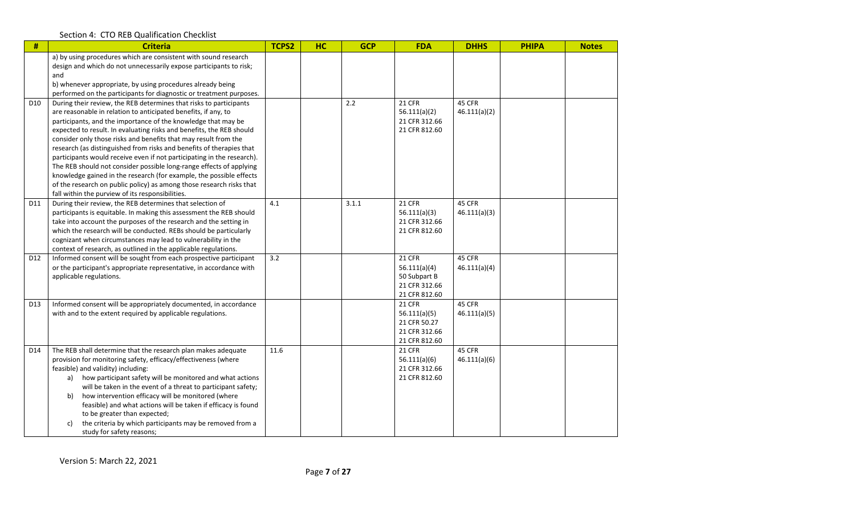| $\#$            | <b>Criteria</b>                                                                                                                                                                                                                                                                                                                                                                                                                                                                                                                                                                                                                                                                                                                                                              | TCPS2 | <b>HC</b> | <b>GCP</b> | <b>FDA</b>                                                                      | <b>DHHS</b>            | <b>PHIPA</b> | <b>Notes</b> |
|-----------------|------------------------------------------------------------------------------------------------------------------------------------------------------------------------------------------------------------------------------------------------------------------------------------------------------------------------------------------------------------------------------------------------------------------------------------------------------------------------------------------------------------------------------------------------------------------------------------------------------------------------------------------------------------------------------------------------------------------------------------------------------------------------------|-------|-----------|------------|---------------------------------------------------------------------------------|------------------------|--------------|--------------|
|                 | a) by using procedures which are consistent with sound research<br>design and which do not unnecessarily expose participants to risk;<br>and                                                                                                                                                                                                                                                                                                                                                                                                                                                                                                                                                                                                                                 |       |           |            |                                                                                 |                        |              |              |
|                 | b) whenever appropriate, by using procedures already being<br>performed on the participants for diagnostic or treatment purposes.                                                                                                                                                                                                                                                                                                                                                                                                                                                                                                                                                                                                                                            |       |           |            |                                                                                 |                        |              |              |
| D <sub>10</sub> | During their review, the REB determines that risks to participants<br>are reasonable in relation to anticipated benefits, if any, to<br>participants, and the importance of the knowledge that may be<br>expected to result. In evaluating risks and benefits, the REB should<br>consider only those risks and benefits that may result from the<br>research (as distinguished from risks and benefits of therapies that<br>participants would receive even if not participating in the research).<br>The REB should not consider possible long-range effects of applying<br>knowledge gained in the research (for example, the possible effects<br>of the research on public policy) as among those research risks that<br>fall within the purview of its responsibilities. |       |           | 2.2        | <b>21 CFR</b><br>56.111(a)(2)<br>21 CFR 312.66<br>21 CFR 812.60                 | 45 CFR<br>46.111(a)(2) |              |              |
| D11             | During their review, the REB determines that selection of<br>participants is equitable. In making this assessment the REB should<br>take into account the purposes of the research and the setting in<br>which the research will be conducted. REBs should be particularly<br>cognizant when circumstances may lead to vulnerability in the<br>context of research, as outlined in the applicable regulations.                                                                                                                                                                                                                                                                                                                                                               | 4.1   |           | 3.1.1      | 21 CFR<br>56.111(a)(3)<br>21 CFR 312.66<br>21 CFR 812.60                        | 45 CFR<br>46.111(a)(3) |              |              |
| D12             | Informed consent will be sought from each prospective participant<br>or the participant's appropriate representative, in accordance with<br>applicable regulations.                                                                                                                                                                                                                                                                                                                                                                                                                                                                                                                                                                                                          | 3.2   |           |            | 21 CFR<br>56.111(a)(4)<br>50 Subpart B<br>21 CFR 312.66<br>21 CFR 812.60        | 45 CFR<br>46.111(a)(4) |              |              |
| D13             | Informed consent will be appropriately documented, in accordance<br>with and to the extent required by applicable regulations.                                                                                                                                                                                                                                                                                                                                                                                                                                                                                                                                                                                                                                               |       |           |            | <b>21 CFR</b><br>56.111(a)(5)<br>21 CFR 50.27<br>21 CFR 312.66<br>21 CFR 812.60 | 45 CFR<br>46.111(a)(5) |              |              |
| D14             | The REB shall determine that the research plan makes adequate<br>provision for monitoring safety, efficacy/effectiveness (where<br>feasible) and validity) including:<br>a) how participant safety will be monitored and what actions<br>will be taken in the event of a threat to participant safety;<br>how intervention efficacy will be monitored (where<br>b)<br>feasible) and what actions will be taken if efficacy is found<br>to be greater than expected;<br>the criteria by which participants may be removed from a<br>c)<br>study for safety reasons;                                                                                                                                                                                                           | 11.6  |           |            | <b>21 CFR</b><br>56.111(a)(6)<br>21 CFR 312.66<br>21 CFR 812.60                 | 45 CFR<br>46.111(a)(6) |              |              |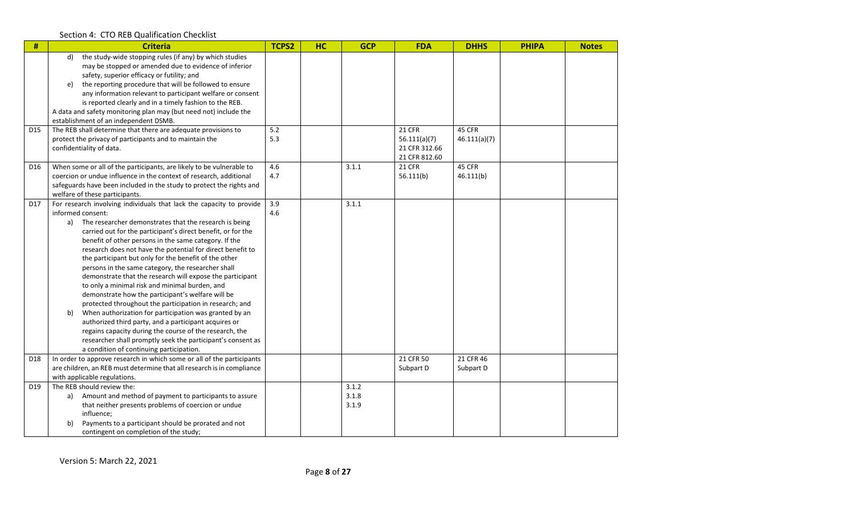| $\#$            | <b>Criteria</b>                                                                                                                                                                                                                                                                                                                                                                                                                                                                                                                                                                                                                                                                                                                                                                                                                                                                                                                                                                            | <b>TCPS2</b> | <b>HC</b> | <b>GCP</b>              | <b>FDA</b>                                               | <b>DHHS</b>            | <b>PHIPA</b> | <b>Notes</b> |
|-----------------|--------------------------------------------------------------------------------------------------------------------------------------------------------------------------------------------------------------------------------------------------------------------------------------------------------------------------------------------------------------------------------------------------------------------------------------------------------------------------------------------------------------------------------------------------------------------------------------------------------------------------------------------------------------------------------------------------------------------------------------------------------------------------------------------------------------------------------------------------------------------------------------------------------------------------------------------------------------------------------------------|--------------|-----------|-------------------------|----------------------------------------------------------|------------------------|--------------|--------------|
|                 | the study-wide stopping rules (if any) by which studies<br>d)<br>may be stopped or amended due to evidence of inferior<br>safety, superior efficacy or futility; and<br>the reporting procedure that will be followed to ensure<br>e)<br>any information relevant to participant welfare or consent<br>is reported clearly and in a timely fashion to the REB.                                                                                                                                                                                                                                                                                                                                                                                                                                                                                                                                                                                                                             |              |           |                         |                                                          |                        |              |              |
|                 | A data and safety monitoring plan may (but need not) include the<br>establishment of an independent DSMB.                                                                                                                                                                                                                                                                                                                                                                                                                                                                                                                                                                                                                                                                                                                                                                                                                                                                                  |              |           |                         |                                                          |                        |              |              |
| D <sub>15</sub> | The REB shall determine that there are adequate provisions to<br>protect the privacy of participants and to maintain the<br>confidentiality of data.                                                                                                                                                                                                                                                                                                                                                                                                                                                                                                                                                                                                                                                                                                                                                                                                                                       | 5.2<br>5.3   |           |                         | 21 CFR<br>56.111(a)(7)<br>21 CFR 312.66<br>21 CFR 812.60 | 45 CFR<br>46.111(a)(7) |              |              |
| D16             | When some or all of the participants, are likely to be vulnerable to<br>coercion or undue influence in the context of research, additional<br>safeguards have been included in the study to protect the rights and<br>welfare of these participants.                                                                                                                                                                                                                                                                                                                                                                                                                                                                                                                                                                                                                                                                                                                                       | 4.6<br>4.7   |           | 3.1.1                   | 21 CFR<br>56.111(b)                                      | 45 CFR<br>46.111(b)    |              |              |
| D17             | For research involving individuals that lack the capacity to provide<br>informed consent:<br>a) The researcher demonstrates that the research is being<br>carried out for the participant's direct benefit, or for the<br>benefit of other persons in the same category. If the<br>research does not have the potential for direct benefit to<br>the participant but only for the benefit of the other<br>persons in the same category, the researcher shall<br>demonstrate that the research will expose the participant<br>to only a minimal risk and minimal burden, and<br>demonstrate how the participant's welfare will be<br>protected throughout the participation in research; and<br>When authorization for participation was granted by an<br>b)<br>authorized third party, and a participant acquires or<br>regains capacity during the course of the research, the<br>researcher shall promptly seek the participant's consent as<br>a condition of continuing participation. | 3.9<br>4.6   |           | 3.1.1                   |                                                          |                        |              |              |
| D18             | In order to approve research in which some or all of the participants<br>are children, an REB must determine that all research is in compliance<br>with applicable regulations.                                                                                                                                                                                                                                                                                                                                                                                                                                                                                                                                                                                                                                                                                                                                                                                                            |              |           |                         | 21 CFR 50<br>Subpart D                                   | 21 CFR 46<br>Subpart D |              |              |
| D19             | The REB should review the:<br>Amount and method of payment to participants to assure<br>a)<br>that neither presents problems of coercion or undue<br>influence:<br>Payments to a participant should be prorated and not<br>b)<br>contingent on completion of the study;                                                                                                                                                                                                                                                                                                                                                                                                                                                                                                                                                                                                                                                                                                                    |              |           | 3.1.2<br>3.1.8<br>3.1.9 |                                                          |                        |              |              |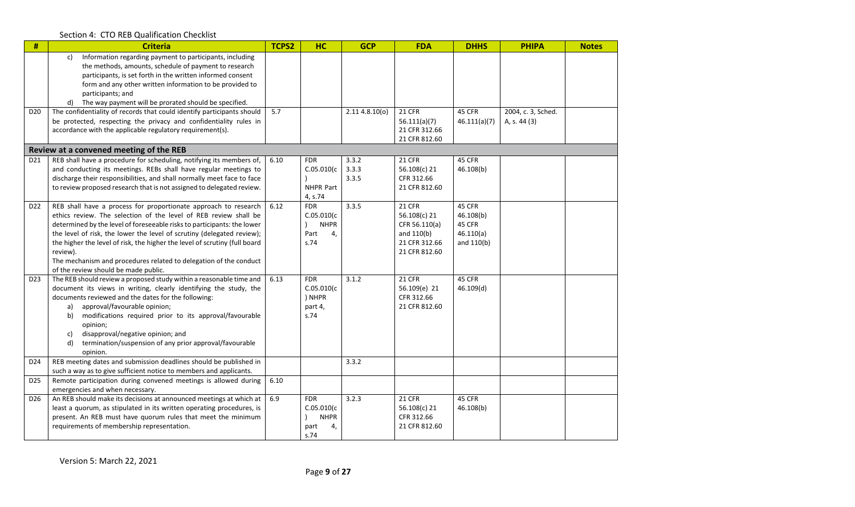| #               | <b>Criteria</b>                                                                                                                                                                                                                                                                                                                                                                                                                                                                                 | TCPS2 | <b>HC</b>                                                      | <b>GCP</b>              | <b>FDA</b>                                                                                | <b>DHHS</b>                                              | <b>PHIPA</b>                       | <b>Notes</b> |
|-----------------|-------------------------------------------------------------------------------------------------------------------------------------------------------------------------------------------------------------------------------------------------------------------------------------------------------------------------------------------------------------------------------------------------------------------------------------------------------------------------------------------------|-------|----------------------------------------------------------------|-------------------------|-------------------------------------------------------------------------------------------|----------------------------------------------------------|------------------------------------|--------------|
|                 | Information regarding payment to participants, including<br>c)<br>the methods, amounts, schedule of payment to research<br>participants, is set forth in the written informed consent<br>form and any other written information to be provided to<br>participants; and<br>d) The way payment will be prorated should be specified.                                                                                                                                                              |       |                                                                |                         |                                                                                           |                                                          |                                    |              |
| D20             | The confidentiality of records that could identify participants should<br>be protected, respecting the privacy and confidentiality rules in<br>accordance with the applicable regulatory requirement(s).                                                                                                                                                                                                                                                                                        | 5.7   |                                                                | 2.114.8.10(0)           | 21 CFR<br>56.111(a)(7)<br>21 CFR 312.66<br>21 CFR 812.60                                  | 45 CFR<br>46.111(a)(7)                                   | 2004, c. 3, Sched.<br>A, s. 44 (3) |              |
|                 | Review at a convened meeting of the REB                                                                                                                                                                                                                                                                                                                                                                                                                                                         |       |                                                                |                         |                                                                                           |                                                          |                                    |              |
| D <sub>21</sub> | REB shall have a procedure for scheduling, notifying its members of,<br>and conducting its meetings. REBs shall have regular meetings to<br>discharge their responsibilities, and shall normally meet face to face<br>to review proposed research that is not assigned to delegated review.                                                                                                                                                                                                     | 6.10  | <b>FDR</b><br>C.05.010(c)<br>NHPR Part<br>4, s.74              | 3.3.2<br>3.3.3<br>3.3.5 | <b>21 CFR</b><br>56.108(c) 21<br>CFR 312.66<br>21 CFR 812.60                              | 45 CFR<br>46.108(b)                                      |                                    |              |
| D22             | REB shall have a process for proportionate approach to research<br>ethics review. The selection of the level of REB review shall be<br>determined by the level of foreseeable risks to participants: the lower<br>the level of risk, the lower the level of scrutiny (delegated review);<br>the higher the level of risk, the higher the level of scrutiny (full board<br>review).<br>The mechanism and procedures related to delegation of the conduct<br>of the review should be made public. | 6.12  | <b>FDR</b><br>C.05.010(c)<br><b>NHPR</b><br>Part<br>4,<br>s.74 | 3.3.5                   | 21 CFR<br>56.108(c) 21<br>CFR 56.110(a)<br>and $110(b)$<br>21 CFR 312.66<br>21 CFR 812.60 | 45 CFR<br>46.108(b)<br>45 CFR<br>46.110(a)<br>and 110(b) |                                    |              |
| D <sub>23</sub> | The REB should review a proposed study within a reasonable time and<br>document its views in writing, clearly identifying the study, the<br>documents reviewed and the dates for the following:<br>approval/favourable opinion;<br>a)<br>modifications required prior to its approval/favourable<br>b)<br>opinion;<br>disapproval/negative opinion; and<br>c)<br>termination/suspension of any prior approval/favourable<br>d)<br>opinion.                                                      | 6.13  | <b>FDR</b><br>C.05.010(c)<br>) NHPR<br>part 4,<br>s.74         | 3.1.2                   | 21 CFR<br>56.109(e) 21<br>CFR 312.66<br>21 CFR 812.60                                     | 45 CFR<br>46.109(d)                                      |                                    |              |
| D24             | REB meeting dates and submission deadlines should be published in<br>such a way as to give sufficient notice to members and applicants.                                                                                                                                                                                                                                                                                                                                                         |       |                                                                | 3.3.2                   |                                                                                           |                                                          |                                    |              |
| D25             | Remote participation during convened meetings is allowed during<br>emergencies and when necessary.                                                                                                                                                                                                                                                                                                                                                                                              | 6.10  |                                                                |                         |                                                                                           |                                                          |                                    |              |
| D <sub>26</sub> | An REB should make its decisions at announced meetings at which at<br>least a quorum, as stipulated in its written operating procedures, is<br>present. An REB must have quorum rules that meet the minimum<br>requirements of membership representation.                                                                                                                                                                                                                                       | 6.9   | <b>FDR</b><br>C.05.010(c)<br><b>NHPR</b><br>4,<br>part<br>s.74 | 3.2.3                   | 21 CFR<br>56.108(c) 21<br>CFR 312.66<br>21 CFR 812.60                                     | 45 CFR<br>46.108(b)                                      |                                    |              |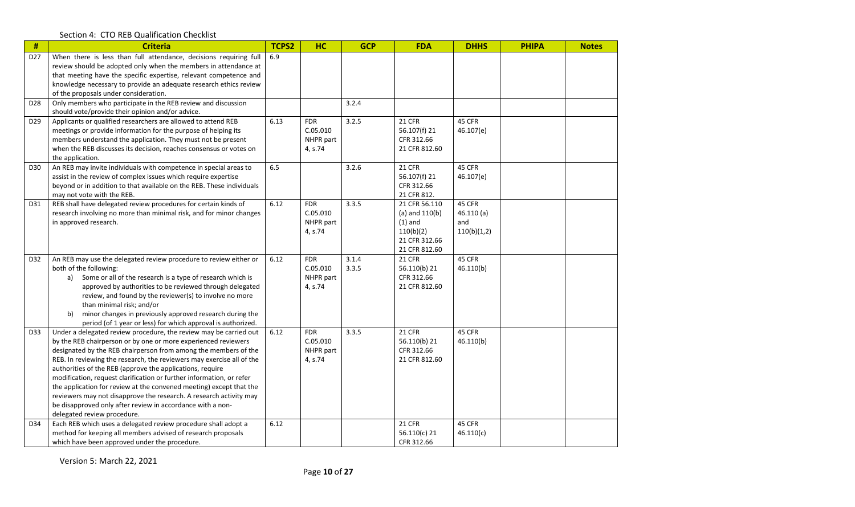| $\#$            | <b>Criteria</b>                                                                                                                                                                                                                                                                                                                                                                                                                                                                                                                                                                                                                                                | TCPS2 | HC                                             | <b>GCP</b>     | <b>FDA</b>                                                                                      | <b>DHHS</b>                               | <b>PHIPA</b> | <b>Notes</b> |
|-----------------|----------------------------------------------------------------------------------------------------------------------------------------------------------------------------------------------------------------------------------------------------------------------------------------------------------------------------------------------------------------------------------------------------------------------------------------------------------------------------------------------------------------------------------------------------------------------------------------------------------------------------------------------------------------|-------|------------------------------------------------|----------------|-------------------------------------------------------------------------------------------------|-------------------------------------------|--------------|--------------|
| D <sub>27</sub> | When there is less than full attendance, decisions requiring full<br>review should be adopted only when the members in attendance at<br>that meeting have the specific expertise, relevant competence and<br>knowledge necessary to provide an adequate research ethics review<br>of the proposals under consideration.                                                                                                                                                                                                                                                                                                                                        | 6.9   |                                                |                |                                                                                                 |                                           |              |              |
| D <sub>28</sub> | Only members who participate in the REB review and discussion<br>should vote/provide their opinion and/or advice.                                                                                                                                                                                                                                                                                                                                                                                                                                                                                                                                              |       |                                                | 3.2.4          |                                                                                                 |                                           |              |              |
| D <sub>29</sub> | Applicants or qualified researchers are allowed to attend REB<br>meetings or provide information for the purpose of helping its<br>members understand the application. They must not be present<br>when the REB discusses its decision, reaches consensus or votes on<br>the application.                                                                                                                                                                                                                                                                                                                                                                      | 6.13  | <b>FDR</b><br>C.05.010<br>NHPR part<br>4, s.74 | 3.2.5          | 21 CFR<br>56.107(f) 21<br>CFR 312.66<br>21 CFR 812.60                                           | 45 CFR<br>46.107(e)                       |              |              |
| D30             | An REB may invite individuals with competence in special areas to<br>assist in the review of complex issues which require expertise<br>beyond or in addition to that available on the REB. These individuals<br>may not vote with the REB.                                                                                                                                                                                                                                                                                                                                                                                                                     | 6.5   |                                                | 3.2.6          | 21 CFR<br>56.107(f) 21<br>CFR 312.66<br>21 CFR 812.                                             | 45 CFR<br>46.107(e)                       |              |              |
| D31             | REB shall have delegated review procedures for certain kinds of<br>research involving no more than minimal risk, and for minor changes<br>in approved research.                                                                                                                                                                                                                                                                                                                                                                                                                                                                                                | 6.12  | <b>FDR</b><br>C.05.010<br>NHPR part<br>4, s.74 | 3.3.5          | 21 CFR 56.110<br>$(a)$ and $110(b)$<br>$(1)$ and<br>110(b)(2)<br>21 CFR 312.66<br>21 CFR 812.60 | 45 CFR<br>46.110(a)<br>and<br>110(b)(1,2) |              |              |
| D32             | An REB may use the delegated review procedure to review either or<br>both of the following:<br>Some or all of the research is a type of research which is<br>a)<br>approved by authorities to be reviewed through delegated<br>review, and found by the reviewer(s) to involve no more<br>than minimal risk; and/or<br>minor changes in previously approved research during the<br>b)<br>period (of 1 year or less) for which approval is authorized.                                                                                                                                                                                                          | 6.12  | <b>FDR</b><br>C.05.010<br>NHPR part<br>4, s.74 | 3.1.4<br>3.3.5 | 21 CFR<br>56.110(b) 21<br>CFR 312.66<br>21 CFR 812.60                                           | 45 CFR<br>46.110(b)                       |              |              |
| D33             | Under a delegated review procedure, the review may be carried out<br>by the REB chairperson or by one or more experienced reviewers<br>designated by the REB chairperson from among the members of the<br>REB. In reviewing the research, the reviewers may exercise all of the<br>authorities of the REB (approve the applications, require<br>modification, request clarification or further information, or refer<br>the application for review at the convened meeting) except that the<br>reviewers may not disapprove the research. A research activity may<br>be disapproved only after review in accordance with a non-<br>delegated review procedure. | 6.12  | <b>FDR</b><br>C.05.010<br>NHPR part<br>4, s.74 | 3.3.5          | <b>21 CFR</b><br>56.110(b) 21<br>CFR 312.66<br>21 CFR 812.60                                    | 45 CFR<br>46.110(b)                       |              |              |
| D34             | Each REB which uses a delegated review procedure shall adopt a<br>method for keeping all members advised of research proposals<br>which have been approved under the procedure.                                                                                                                                                                                                                                                                                                                                                                                                                                                                                | 6.12  |                                                |                | 21 CFR<br>56.110(c) 21<br>CFR 312.66                                                            | 45 CFR<br>46.110(c)                       |              |              |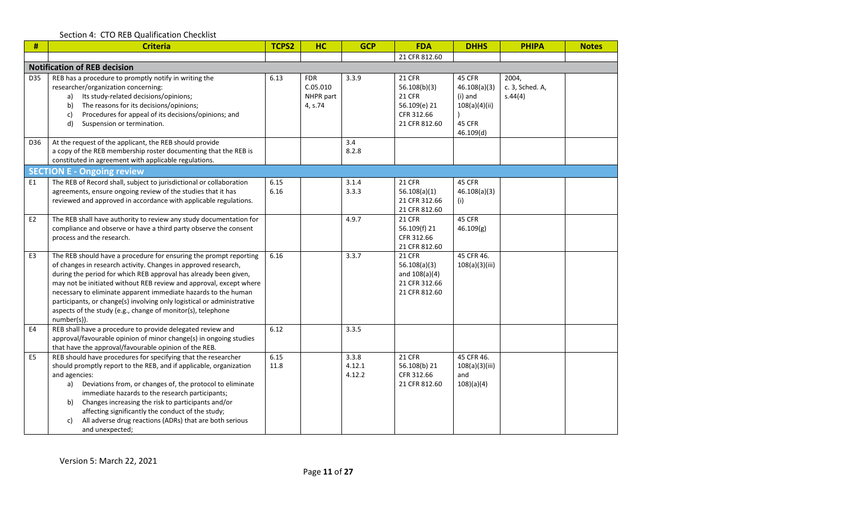| #              | <b>Criteria</b>                                                                                                                                                                                                                                                                                                                                                                                                                                                                                         | <b>TCPS2</b> | <b>HC</b>                                      | <b>GCP</b>                | <b>FDA</b>                                                                                    | <b>DHHS</b>                                                               | <b>PHIPA</b>                        | <b>Notes</b> |
|----------------|---------------------------------------------------------------------------------------------------------------------------------------------------------------------------------------------------------------------------------------------------------------------------------------------------------------------------------------------------------------------------------------------------------------------------------------------------------------------------------------------------------|--------------|------------------------------------------------|---------------------------|-----------------------------------------------------------------------------------------------|---------------------------------------------------------------------------|-------------------------------------|--------------|
|                |                                                                                                                                                                                                                                                                                                                                                                                                                                                                                                         |              |                                                |                           | 21 CFR 812.60                                                                                 |                                                                           |                                     |              |
|                | <b>Notification of REB decision</b>                                                                                                                                                                                                                                                                                                                                                                                                                                                                     |              |                                                |                           |                                                                                               |                                                                           |                                     |              |
| D35            | REB has a procedure to promptly notify in writing the<br>researcher/organization concerning:<br>Its study-related decisions/opinions;<br>a)<br>The reasons for its decisions/opinions;<br>b)<br>Procedures for appeal of its decisions/opinions; and<br>c)<br>Suspension or termination.<br>d)                                                                                                                                                                                                          | 6.13         | <b>FDR</b><br>C.05.010<br>NHPR part<br>4, s.74 | 3.3.9                     | <b>21 CFR</b><br>56.108(b)(3)<br><b>21 CFR</b><br>56.109(e) 21<br>CFR 312.66<br>21 CFR 812.60 | 45 CFR<br>46.108(a)(3)<br>(i) and<br>108(a)(4)(ii)<br>45 CFR<br>46.109(d) | 2004,<br>c. 3, Sched. A,<br>S.44(4) |              |
| D36            | At the request of the applicant, the REB should provide<br>a copy of the REB membership roster documenting that the REB is<br>constituted in agreement with applicable regulations.                                                                                                                                                                                                                                                                                                                     |              |                                                | 3.4<br>8.2.8              |                                                                                               |                                                                           |                                     |              |
|                | <b>SECTION E - Ongoing review</b>                                                                                                                                                                                                                                                                                                                                                                                                                                                                       |              |                                                |                           |                                                                                               |                                                                           |                                     |              |
| E1             | The REB of Record shall, subject to jurisdictional or collaboration<br>agreements, ensure ongoing review of the studies that it has<br>reviewed and approved in accordance with applicable regulations.                                                                                                                                                                                                                                                                                                 | 6.15<br>6.16 |                                                | 3.1.4<br>3.3.3            | <b>21 CFR</b><br>56.108(a)(1)<br>21 CFR 312.66<br>21 CFR 812.60                               | 45 CFR<br>46.108(a)(3)<br>(i)                                             |                                     |              |
| E <sub>2</sub> | The REB shall have authority to review any study documentation for<br>compliance and observe or have a third party observe the consent<br>process and the research.                                                                                                                                                                                                                                                                                                                                     |              |                                                | 4.9.7                     | <b>21 CFR</b><br>56.109(f) 21<br>CFR 312.66<br>21 CFR 812.60                                  | 45 CFR<br>46.109(g)                                                       |                                     |              |
| E <sub>3</sub> | The REB should have a procedure for ensuring the prompt reporting<br>of changes in research activity. Changes in approved research,<br>during the period for which REB approval has already been given,<br>may not be initiated without REB review and approval, except where<br>necessary to eliminate apparent immediate hazards to the human<br>participants, or change(s) involving only logistical or administrative<br>aspects of the study (e.g., change of monitor(s), telephone<br>number(s)). | 6.16         |                                                | 3.3.7                     | <b>21 CFR</b><br>56.108(a)(3)<br>and $108(a)(4)$<br>21 CFR 312.66<br>21 CFR 812.60            | 45 CFR 46.<br>108(a)(3)(iii)                                              |                                     |              |
| E <sub>4</sub> | REB shall have a procedure to provide delegated review and<br>approval/favourable opinion of minor change(s) in ongoing studies<br>that have the approval/favourable opinion of the REB.                                                                                                                                                                                                                                                                                                                | 6.12         |                                                | 3.3.5                     |                                                                                               |                                                                           |                                     |              |
| E <sub>5</sub> | REB should have procedures for specifying that the researcher<br>should promptly report to the REB, and if applicable, organization<br>and agencies:<br>Deviations from, or changes of, the protocol to eliminate<br>a)<br>immediate hazards to the research participants;<br>Changes increasing the risk to participants and/or<br>b)<br>affecting significantly the conduct of the study;<br>All adverse drug reactions (ADRs) that are both serious<br>c)<br>and unexpected;                         | 6.15<br>11.8 |                                                | 3.3.8<br>4.12.1<br>4.12.2 | <b>21 CFR</b><br>56.108(b) 21<br>CFR 312.66<br>21 CFR 812.60                                  | 45 CFR 46.<br>108(a)(3)(iii)<br>and<br>108)(a)(4)                         |                                     |              |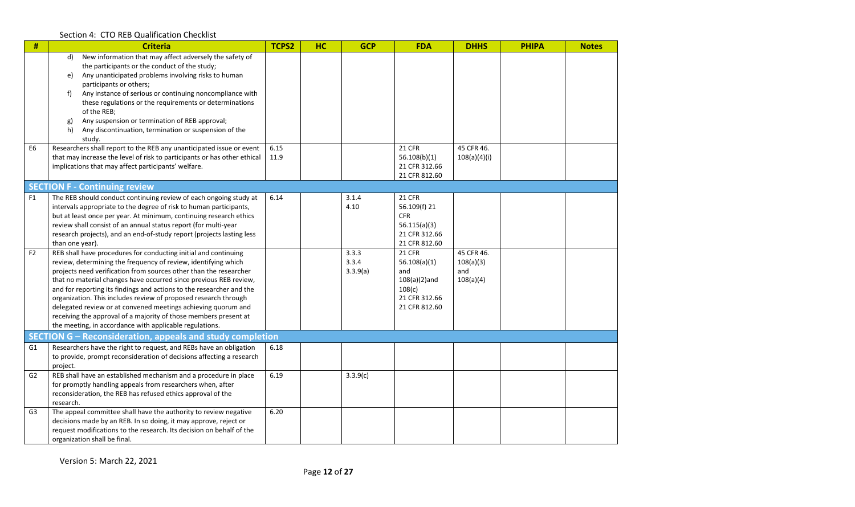| $\#$           | <b>Criteria</b>                                                                                                     | <b>TCPS2</b> | HC | <b>GCP</b> | <b>FDA</b>                     | <b>DHHS</b>  | <b>PHIPA</b> | <b>Notes</b> |
|----------------|---------------------------------------------------------------------------------------------------------------------|--------------|----|------------|--------------------------------|--------------|--------------|--------------|
|                | New information that may affect adversely the safety of<br>d)                                                       |              |    |            |                                |              |              |              |
|                | the participants or the conduct of the study;                                                                       |              |    |            |                                |              |              |              |
|                | Any unanticipated problems involving risks to human<br>e)                                                           |              |    |            |                                |              |              |              |
|                | participants or others;<br>f                                                                                        |              |    |            |                                |              |              |              |
|                | Any instance of serious or continuing noncompliance with<br>these regulations or the requirements or determinations |              |    |            |                                |              |              |              |
|                | of the REB;                                                                                                         |              |    |            |                                |              |              |              |
|                | Any suspension or termination of REB approval;<br>g)                                                                |              |    |            |                                |              |              |              |
|                | Any discontinuation, termination or suspension of the<br>h)                                                         |              |    |            |                                |              |              |              |
|                | study.                                                                                                              |              |    |            |                                |              |              |              |
| E6             | Researchers shall report to the REB any unanticipated issue or event                                                | 6.15         |    |            | 21 CFR                         | 45 CFR 46.   |              |              |
|                | that may increase the level of risk to participants or has other ethical                                            | 11.9         |    |            | 56.108(b)(1)                   | 108(a)(4)(i) |              |              |
|                | implications that may affect participants' welfare.                                                                 |              |    |            | 21 CFR 312.66                  |              |              |              |
|                |                                                                                                                     |              |    |            | 21 CFR 812.60                  |              |              |              |
|                | <b>SECTION F - Continuing review</b>                                                                                |              |    |            |                                |              |              |              |
| F <sub>1</sub> | The REB should conduct continuing review of each ongoing study at                                                   | 6.14         |    | 3.1.4      | <b>21 CFR</b>                  |              |              |              |
|                | intervals appropriate to the degree of risk to human participants,                                                  |              |    | 4.10       | 56.109(f) 21                   |              |              |              |
|                | but at least once per year. At minimum, continuing research ethics                                                  |              |    |            | <b>CFR</b>                     |              |              |              |
|                | review shall consist of an annual status report (for multi-year                                                     |              |    |            | 56.115(a)(3)                   |              |              |              |
|                | research projects), and an end-of-study report (projects lasting less                                               |              |    |            | 21 CFR 312.66                  |              |              |              |
| F <sub>2</sub> | than one year).<br>REB shall have procedures for conducting initial and continuing                                  |              |    | 3.3.3      | 21 CFR 812.60<br><b>21 CFR</b> | 45 CFR 46.   |              |              |
|                | review, determining the frequency of review, identifying which                                                      |              |    | 3.3.4      | 56.108(a)(1)                   | 108(a)(3)    |              |              |
|                | projects need verification from sources other than the researcher                                                   |              |    | 3.3.9(a)   | and                            | and          |              |              |
|                | that no material changes have occurred since previous REB review,                                                   |              |    |            | $108(a)(2)$ and                | 108(a)(4)    |              |              |
|                | and for reporting its findings and actions to the researcher and the                                                |              |    |            | 108(c)                         |              |              |              |
|                | organization. This includes review of proposed research through                                                     |              |    |            | 21 CFR 312.66                  |              |              |              |
|                | delegated review or at convened meetings achieving quorum and                                                       |              |    |            | 21 CFR 812.60                  |              |              |              |
|                | receiving the approval of a majority of those members present at                                                    |              |    |            |                                |              |              |              |
|                | the meeting, in accordance with applicable regulations.                                                             |              |    |            |                                |              |              |              |
|                | SECTION G – Reconsideration, appeals and study completion                                                           |              |    |            |                                |              |              |              |
| G1             | Researchers have the right to request, and REBs have an obligation                                                  | 6.18         |    |            |                                |              |              |              |
|                | to provide, prompt reconsideration of decisions affecting a research                                                |              |    |            |                                |              |              |              |
|                | project.                                                                                                            |              |    |            |                                |              |              |              |
| G <sub>2</sub> | REB shall have an established mechanism and a procedure in place                                                    | 6.19         |    | 3.3.9(c)   |                                |              |              |              |
|                | for promptly handling appeals from researchers when, after                                                          |              |    |            |                                |              |              |              |
|                | reconsideration, the REB has refused ethics approval of the                                                         |              |    |            |                                |              |              |              |
|                | research.<br>The appeal committee shall have the authority to review negative                                       | 6.20         |    |            |                                |              |              |              |
| G3             | decisions made by an REB. In so doing, it may approve, reject or                                                    |              |    |            |                                |              |              |              |
|                | request modifications to the research. Its decision on behalf of the                                                |              |    |            |                                |              |              |              |
|                | organization shall be final.                                                                                        |              |    |            |                                |              |              |              |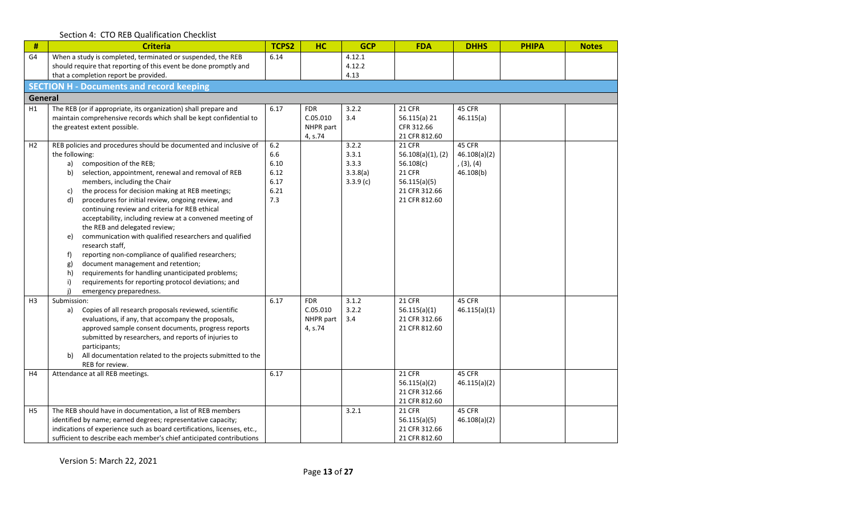|  |  | Section 4: CTO REB Qualification Checklist |  |
|--|--|--------------------------------------------|--|
|--|--|--------------------------------------------|--|

| #              | <b>Criteria</b>                                                                                                                         | TCPS2        | <b>HC</b>  | <b>GCP</b>     | <b>FDA</b>                     | <b>DHHS</b>            | <b>PHIPA</b> | <b>Notes</b> |
|----------------|-----------------------------------------------------------------------------------------------------------------------------------------|--------------|------------|----------------|--------------------------------|------------------------|--------------|--------------|
| G4             | When a study is completed, terminated or suspended, the REB                                                                             | 6.14         |            | 4.12.1         |                                |                        |              |              |
|                | should require that reporting of this event be done promptly and<br>that a completion report be provided.                               |              |            | 4.12.2<br>4.13 |                                |                        |              |              |
|                | <b>SECTION H - Documents and record keeping</b>                                                                                         |              |            |                |                                |                        |              |              |
| General        |                                                                                                                                         |              |            |                |                                |                        |              |              |
| H1             | The REB (or if appropriate, its organization) shall prepare and                                                                         | 6.17         | <b>FDR</b> | 3.2.2          | 21 CFR                         | 45 CFR                 |              |              |
|                | maintain comprehensive records which shall be kept confidential to                                                                      |              | C.05.010   | 3.4            | 56.115(a) 21                   | 46.115(a)              |              |              |
|                | the greatest extent possible.                                                                                                           |              | NHPR part  |                | CFR 312.66                     |                        |              |              |
| H <sub>2</sub> | REB policies and procedures should be documented and inclusive of                                                                       | 6.2          | 4, s.74    | 3.2.2          | 21 CFR 812.60<br><b>21 CFR</b> | 45 CFR                 |              |              |
|                | the following:                                                                                                                          | 6.6          |            | 3.3.1          | $56.108(a)(1)$ , (2)           | 46.108(a)(2)           |              |              |
|                | composition of the REB;<br>a)                                                                                                           | 6.10         |            | 3.3.3          | 56.108(c)                      | (3), (4)               |              |              |
|                | selection, appointment, renewal and removal of REB<br>b)                                                                                | 6.12         |            | 3.3.8(a)       | <b>21 CFR</b>                  | 46.108(b)              |              |              |
|                | members, including the Chair<br>the process for decision making at REB meetings;<br>c)                                                  | 6.17<br>6.21 |            | 3.3.9(c)       | 56.115(a)(5)<br>21 CFR 312.66  |                        |              |              |
|                | procedures for initial review, ongoing review, and<br>d)                                                                                | 7.3          |            |                | 21 CFR 812.60                  |                        |              |              |
|                | continuing review and criteria for REB ethical                                                                                          |              |            |                |                                |                        |              |              |
|                | acceptability, including review at a convened meeting of                                                                                |              |            |                |                                |                        |              |              |
|                | the REB and delegated review;<br>communication with qualified researchers and qualified                                                 |              |            |                |                                |                        |              |              |
|                | e)<br>research staff,                                                                                                                   |              |            |                |                                |                        |              |              |
|                | reporting non-compliance of qualified researchers;<br>f)                                                                                |              |            |                |                                |                        |              |              |
|                | document management and retention;<br>g)                                                                                                |              |            |                |                                |                        |              |              |
|                | requirements for handling unanticipated problems;<br>h)                                                                                 |              |            |                |                                |                        |              |              |
|                | requirements for reporting protocol deviations; and<br>emergency preparedness.                                                          |              |            |                |                                |                        |              |              |
| H <sub>3</sub> | Submission:                                                                                                                             | 6.17         | <b>FDR</b> | 3.1.2          | 21 CFR                         | 45 CFR                 |              |              |
|                | Copies of all research proposals reviewed, scientific<br>a)                                                                             |              | C.05.010   | 3.2.2          | 56.115(a)(1)                   | 46.115(a)(1)           |              |              |
|                | evaluations, if any, that accompany the proposals,                                                                                      |              | NHPR part  | 3.4            | 21 CFR 312.66                  |                        |              |              |
|                | approved sample consent documents, progress reports<br>submitted by researchers, and reports of injuries to                             |              | 4, s.74    |                | 21 CFR 812.60                  |                        |              |              |
|                | participants;                                                                                                                           |              |            |                |                                |                        |              |              |
|                | All documentation related to the projects submitted to the<br>b)                                                                        |              |            |                |                                |                        |              |              |
|                | REB for review.                                                                                                                         |              |            |                |                                |                        |              |              |
| H <sub>4</sub> | Attendance at all REB meetings.                                                                                                         | 6.17         |            |                | <b>21 CFR</b><br>56.115(a)(2)  | 45 CFR<br>46.115(a)(2) |              |              |
|                |                                                                                                                                         |              |            |                | 21 CFR 312.66                  |                        |              |              |
|                |                                                                                                                                         |              |            |                | 21 CFR 812.60                  |                        |              |              |
| H <sub>5</sub> | The REB should have in documentation, a list of REB members                                                                             |              |            | 3.2.1          | <b>21 CFR</b>                  | 45 CFR                 |              |              |
|                | identified by name; earned degrees; representative capacity;<br>indications of experience such as board certifications, licenses, etc., |              |            |                | 56.115(a)(5)<br>21 CFR 312.66  | 46.108(a)(2)           |              |              |
|                | sufficient to describe each member's chief anticipated contributions                                                                    |              |            |                | 21 CFR 812.60                  |                        |              |              |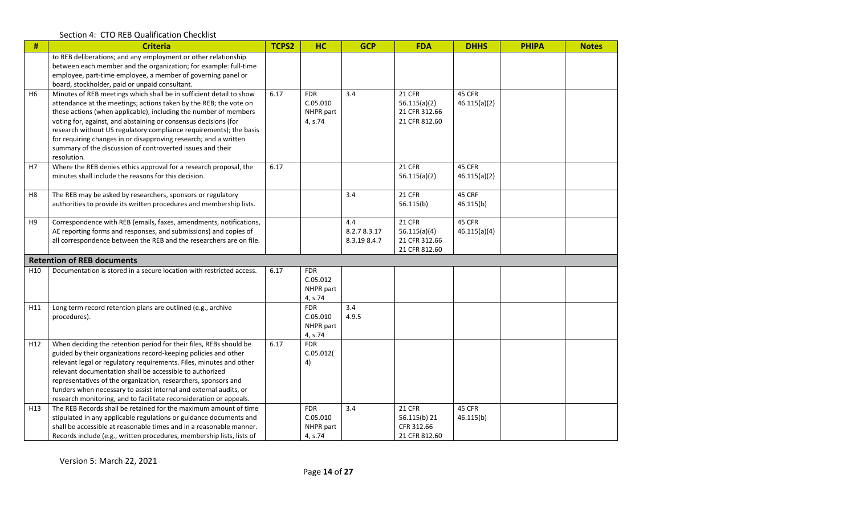| #               | <b>Criteria</b>                                                                                                                                                                                                                                                                                                                                                                                                                                                                                        | <b>TCPS2</b> | <b>HC</b>                                      | <b>GCP</b>                         | <b>FDA</b>                                                      | <b>DHHS</b>            | <b>PHIPA</b> | <b>Notes</b> |
|-----------------|--------------------------------------------------------------------------------------------------------------------------------------------------------------------------------------------------------------------------------------------------------------------------------------------------------------------------------------------------------------------------------------------------------------------------------------------------------------------------------------------------------|--------------|------------------------------------------------|------------------------------------|-----------------------------------------------------------------|------------------------|--------------|--------------|
|                 | to REB deliberations; and any employment or other relationship<br>between each member and the organization; for example: full-time<br>employee, part-time employee, a member of governing panel or<br>board, stockholder, paid or unpaid consultant.                                                                                                                                                                                                                                                   |              |                                                |                                    |                                                                 |                        |              |              |
| H <sub>6</sub>  | Minutes of REB meetings which shall be in sufficient detail to show<br>attendance at the meetings; actions taken by the REB; the vote on<br>these actions (when applicable), including the number of members<br>voting for, against, and abstaining or consensus decisions (for<br>research without US regulatory compliance requirements); the basis<br>for requiring changes in or disapproving research; and a written<br>summary of the discussion of controverted issues and their<br>resolution. | 6.17         | <b>FDR</b><br>C.05.010<br>NHPR part<br>4, s.74 | 3.4                                | <b>21 CFR</b><br>56.115(a)(2)<br>21 CFR 312.66<br>21 CFR 812.60 | 45 CFR<br>46.115(a)(2) |              |              |
| H7              | Where the REB denies ethics approval for a research proposal, the<br>minutes shall include the reasons for this decision.                                                                                                                                                                                                                                                                                                                                                                              | 6.17         |                                                |                                    | <b>21 CFR</b><br>56.115(a)(2)                                   | 45 CFR<br>46.115(a)(2) |              |              |
| H <sub>8</sub>  | The REB may be asked by researchers, sponsors or regulatory<br>authorities to provide its written procedures and membership lists.                                                                                                                                                                                                                                                                                                                                                                     |              |                                                | 3.4                                | 21 CFR<br>56.115(b)                                             | 45 CRF<br>46.115(b)    |              |              |
| H9              | Correspondence with REB (emails, faxes, amendments, notifications,<br>AE reporting forms and responses, and submissions) and copies of<br>all correspondence between the REB and the researchers are on file.                                                                                                                                                                                                                                                                                          |              |                                                | 4.4<br>8.2.78.3.17<br>8.3.19 8.4.7 | <b>21 CFR</b><br>56.115(a)(4)<br>21 CFR 312.66<br>21 CFR 812.60 | 45 CFR<br>46.115(a)(4) |              |              |
|                 | <b>Retention of REB documents</b>                                                                                                                                                                                                                                                                                                                                                                                                                                                                      |              |                                                |                                    |                                                                 |                        |              |              |
| H <sub>10</sub> | Documentation is stored in a secure location with restricted access.                                                                                                                                                                                                                                                                                                                                                                                                                                   | 6.17         | <b>FDR</b><br>C.05.012<br>NHPR part<br>4, s.74 |                                    |                                                                 |                        |              |              |
| H11             | Long term record retention plans are outlined (e.g., archive<br>procedures).                                                                                                                                                                                                                                                                                                                                                                                                                           |              | <b>FDR</b><br>C.05.010<br>NHPR part<br>4, s.74 | 3.4<br>4.9.5                       |                                                                 |                        |              |              |
| H <sub>12</sub> | When deciding the retention period for their files, REBs should be<br>guided by their organizations record-keeping policies and other<br>relevant legal or regulatory requirements. Files, minutes and other<br>relevant documentation shall be accessible to authorized<br>representatives of the organization, researchers, sponsors and<br>funders when necessary to assist internal and external audits, or<br>research monitoring, and to facilitate reconsideration or appeals.                  | 6.17         | <b>FDR</b><br>C.05.012(<br>4)                  |                                    |                                                                 |                        |              |              |
| H13             | The REB Records shall be retained for the maximum amount of time<br>stipulated in any applicable regulations or guidance documents and<br>shall be accessible at reasonable times and in a reasonable manner.<br>Records include (e.g., written procedures, membership lists, lists of                                                                                                                                                                                                                 |              | <b>FDR</b><br>C.05.010<br>NHPR part<br>4, s.74 | 3.4                                | <b>21 CFR</b><br>56.115(b) 21<br>CFR 312.66<br>21 CFR 812.60    | 45 CFR<br>46.115(b)    |              |              |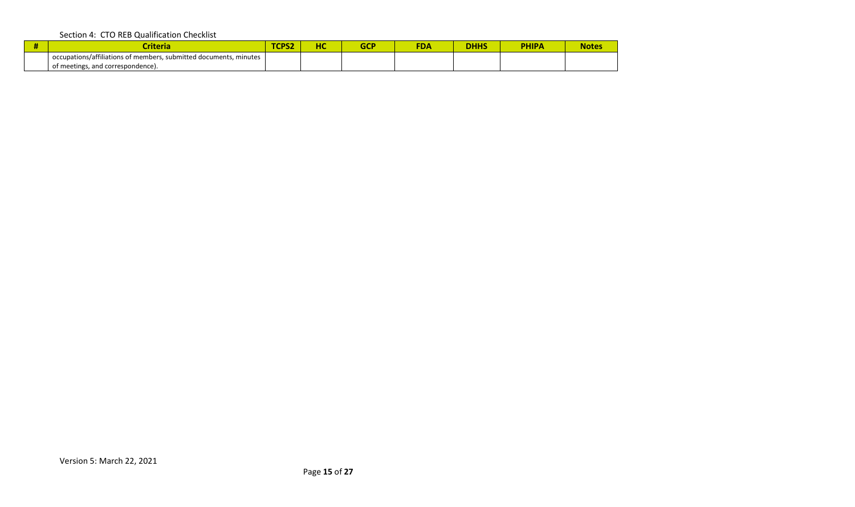| ritori.<br>ILC I 10                                                                       | <b>CPS2</b> | - 2 | r r | <b>FDA</b> | nuuc<br>иппе | <b>PHIPA</b> | <b>Notes</b> |
|-------------------------------------------------------------------------------------------|-------------|-----|-----|------------|--------------|--------------|--------------|
| $\mathbf{r}$<br>, submitted documents,<br>occupations/affiliations of members,<br>minutes |             |     |     |            |              |              |              |
| and correspondence).<br>of meetings,                                                      |             |     |     |            |              |              |              |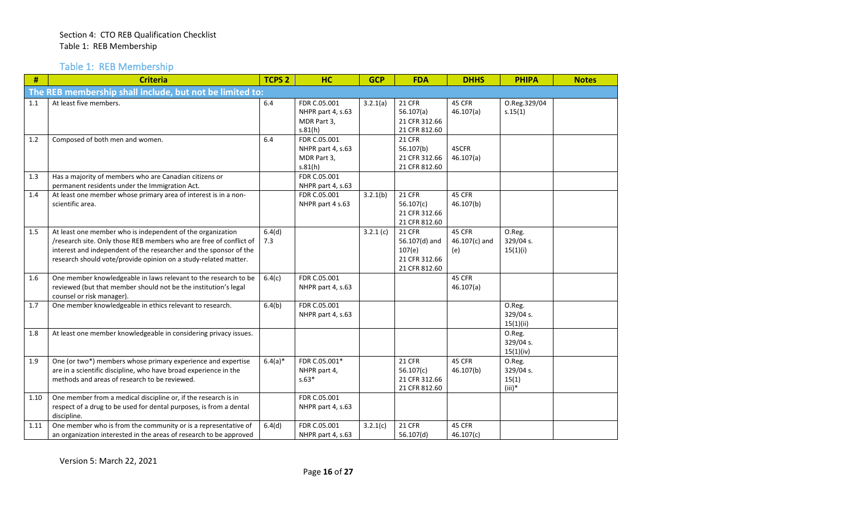Table 1: REB Membership

| #    | <b>Criteria</b>                                                                                                                                                                                                                                                          | <b>TCPS 2</b> | <b>HC</b>                                                   | <b>GCP</b> | <b>FDA</b>                                                                 | <b>DHHS</b>                    | <b>PHIPA</b>                             | <b>Notes</b> |
|------|--------------------------------------------------------------------------------------------------------------------------------------------------------------------------------------------------------------------------------------------------------------------------|---------------|-------------------------------------------------------------|------------|----------------------------------------------------------------------------|--------------------------------|------------------------------------------|--------------|
|      | The REB membership shall include, but not be limited to:                                                                                                                                                                                                                 |               |                                                             |            |                                                                            |                                |                                          |              |
| 1.1  | At least five members.                                                                                                                                                                                                                                                   | 6.4           | FDR C.05.001<br>NHPR part 4, s.63<br>MDR Part 3,<br>s.81(h) | 3.2.1(a)   | <b>21 CFR</b><br>56.107(a)<br>21 CFR 312.66<br>21 CFR 812.60               | 45 CFR<br>46.107(a)            | O.Reg.329/04<br>s.15(1)                  |              |
| 1.2  | Composed of both men and women.                                                                                                                                                                                                                                          | 6.4           | FDR C.05.001<br>NHPR part 4, s.63<br>MDR Part 3,<br>s.81(h) |            | <b>21 CFR</b><br>56.107(b)<br>21 CFR 312.66<br>21 CFR 812.60               | 45CFR<br>46.107(a)             |                                          |              |
| 1.3  | Has a majority of members who are Canadian citizens or                                                                                                                                                                                                                   |               | FDR C.05.001                                                |            |                                                                            |                                |                                          |              |
|      | permanent residents under the Immigration Act.                                                                                                                                                                                                                           |               | NHPR part 4, s.63                                           |            |                                                                            |                                |                                          |              |
| 1.4  | At least one member whose primary area of interest is in a non-<br>scientific area.                                                                                                                                                                                      |               | FDR C.05.001<br>NHPR part 4 s.63                            | 3.2.1(b)   | <b>21 CFR</b><br>56.107(c)<br>21 CFR 312.66<br>21 CFR 812.60               | 45 CFR<br>46.107(b)            |                                          |              |
| 1.5  | At least one member who is independent of the organization<br>/research site. Only those REB members who are free of conflict of<br>interest and independent of the researcher and the sponsor of the<br>research should vote/provide opinion on a study-related matter. | 6.4(d)<br>7.3 |                                                             | 3.2.1(c)   | <b>21 CFR</b><br>56.107(d) and<br>107(e)<br>21 CFR 312.66<br>21 CFR 812.60 | 45 CFR<br>46.107(c) and<br>(e) | O.Reg.<br>329/04 s.<br>15(1)(i)          |              |
| 1.6  | One member knowledgeable in laws relevant to the research to be<br>reviewed (but that member should not be the institution's legal<br>counsel or risk manager).                                                                                                          | 6.4(c)        | FDR C.05.001<br>NHPR part 4, s.63                           |            |                                                                            | 45 CFR<br>46.107(a)            |                                          |              |
| 1.7  | One member knowledgeable in ethics relevant to research.                                                                                                                                                                                                                 | 6.4(b)        | FDR C.05.001<br>NHPR part 4, s.63                           |            |                                                                            |                                | O.Reg.<br>329/04 s.<br>15(1)(ii)         |              |
| 1.8  | At least one member knowledgeable in considering privacy issues.                                                                                                                                                                                                         |               |                                                             |            |                                                                            |                                | O.Reg.<br>329/04 s.<br>15(1)(iv)         |              |
| 1.9  | One (or two*) members whose primary experience and expertise<br>are in a scientific discipline, who have broad experience in the<br>methods and areas of research to be reviewed.                                                                                        | $6.4(a)*$     | FDR C.05.001*<br>NHPR part 4,<br>$s.63*$                    |            | <b>21 CFR</b><br>56.107(c)<br>21 CFR 312.66<br>21 CFR 812.60               | 45 CFR<br>46.107(b)            | O.Reg.<br>329/04 s.<br>15(1)<br>$(iii)*$ |              |
| 1.10 | One member from a medical discipline or, if the research is in<br>respect of a drug to be used for dental purposes, is from a dental<br>discipline.                                                                                                                      |               | FDR C.05.001<br>NHPR part 4, s.63                           |            |                                                                            |                                |                                          |              |
| 1.11 | One member who is from the community or is a representative of<br>an organization interested in the areas of research to be approved                                                                                                                                     | 6.4(d)        | FDR C.05.001<br>NHPR part 4, s.63                           | 3.2.1(c)   | 21 CFR<br>56.107(d)                                                        | 45 CFR<br>46.107(c)            |                                          |              |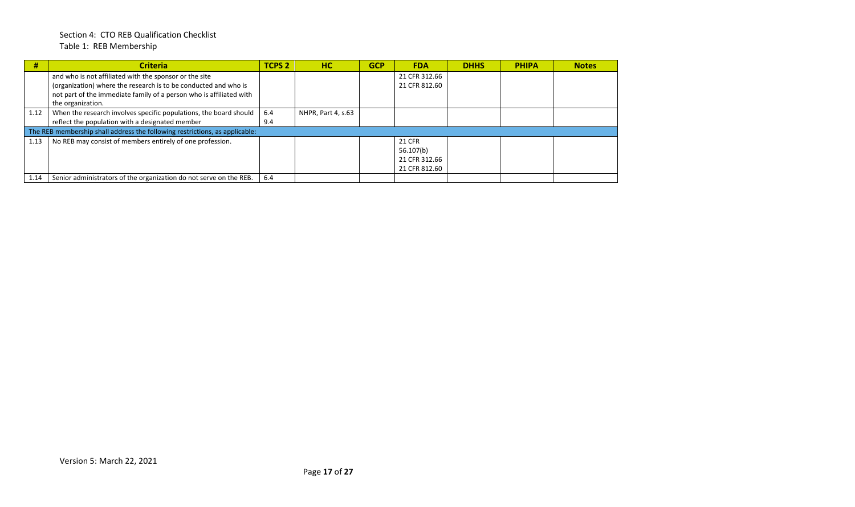## Section 4: CTO REB Qualification Checklist Table 1: REB Membership

| #    | <b>Criteria</b>                                                             | <b>TCPS 2</b> | <b>HC</b>          | <b>GCP</b> | <b>FDA</b>    | <b>DHHS</b> | <b>PHIPA</b> | <b>Notes</b> |
|------|-----------------------------------------------------------------------------|---------------|--------------------|------------|---------------|-------------|--------------|--------------|
|      | and who is not affiliated with the sponsor or the site                      |               |                    |            | 21 CFR 312.66 |             |              |              |
|      | (organization) where the research is to be conducted and who is             |               |                    |            | 21 CFR 812.60 |             |              |              |
|      | not part of the immediate family of a person who is affiliated with         |               |                    |            |               |             |              |              |
|      | the organization.                                                           |               |                    |            |               |             |              |              |
| 1.12 | When the research involves specific populations, the board should           | 6.4           | NHPR, Part 4, s.63 |            |               |             |              |              |
|      | reflect the population with a designated member                             | 9.4           |                    |            |               |             |              |              |
|      | The REB membership shall address the following restrictions, as applicable: |               |                    |            |               |             |              |              |
| 1.13 | No REB may consist of members entirely of one profession.                   |               |                    |            | <b>21 CFR</b> |             |              |              |
|      |                                                                             |               |                    |            | 56.107(b)     |             |              |              |
|      |                                                                             |               |                    |            | 21 CFR 312.66 |             |              |              |
|      |                                                                             |               |                    |            | 21 CFR 812.60 |             |              |              |
| 1.14 | Senior administrators of the organization do not serve on the REB.          | 6.4           |                    |            |               |             |              |              |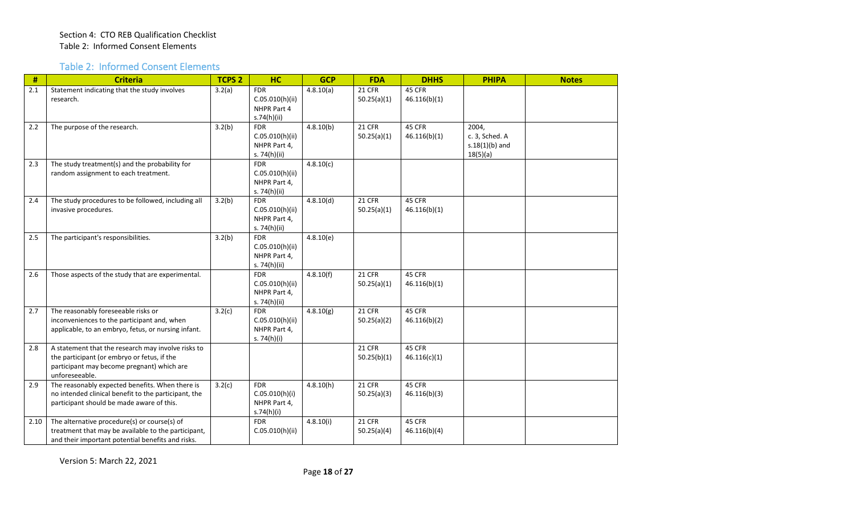## Table 2: Informed Consent Elements

| #    | <b>Criteria</b>                                                                                                                                                   | <b>TCPS 2</b> | <b>HC</b>                                                     | <b>GCP</b>             | <b>FDA</b>                   | <b>DHHS</b>            | <b>PHIPA</b>                                            | <b>Notes</b> |
|------|-------------------------------------------------------------------------------------------------------------------------------------------------------------------|---------------|---------------------------------------------------------------|------------------------|------------------------------|------------------------|---------------------------------------------------------|--------------|
| 2.1  | Statement indicating that the study involves<br>research.                                                                                                         | 3.2(a)        | <b>FDR</b><br>C.05.010(h)(ii)<br>NHPR Part 4<br>s.74(h)(ii)   | 4.8.10(a)              | <b>21 CFR</b><br>50.25(a)(1) | 45 CFR<br>46.116(b)(1) |                                                         |              |
| 2.2  | The purpose of the research.                                                                                                                                      | 3.2(b)        | <b>FDR</b><br>C.05.010(h)(ii)<br>NHPR Part 4,<br>s. 74(h)(ii) | 4.8.10(b)              | 21 CFR<br>50.25(a)(1)        | 45 CFR<br>46.116(b)(1) | 2004,<br>c. 3, Sched. A<br>$s.18(1)(b)$ and<br>18(5)(a) |              |
| 2.3  | The study treatment(s) and the probability for<br>random assignment to each treatment.                                                                            |               | <b>FDR</b><br>C.05.010(h)(ii)<br>NHPR Part 4,<br>s. 74(h)(ii) | $\overline{4.8.10(c)}$ |                              |                        |                                                         |              |
| 2.4  | The study procedures to be followed, including all<br>invasive procedures.                                                                                        | 3.2(b)        | <b>FDR</b><br>C.05.010(h)(ii)<br>NHPR Part 4,<br>s. 74(h)(ii) | 4.8.10(d)              | <b>21 CFR</b><br>50.25(a)(1) | 45 CFR<br>46.116(b)(1) |                                                         |              |
| 2.5  | The participant's responsibilities.                                                                                                                               | 3.2(b)        | <b>FDR</b><br>C.05.010(h)(ii)<br>NHPR Part 4,<br>s. 74(h)(ii) | 4.8.10(e)              |                              |                        |                                                         |              |
| 2.6  | Those aspects of the study that are experimental.                                                                                                                 |               | <b>FDR</b><br>C.05.010(h)(ii)<br>NHPR Part 4,<br>s. 74(h)(ii) | 4.8.10(f)              | 21 CFR<br>50.25(a)(1)        | 45 CFR<br>46.116(b)(1) |                                                         |              |
| 2.7  | The reasonably foreseeable risks or<br>inconveniences to the participant and, when<br>applicable, to an embryo, fetus, or nursing infant.                         | 3.2(c)        | <b>FDR</b><br>C.05.010(h)(ii)<br>NHPR Part 4,<br>s. 74(h)(i)  | 4.8.10(g)              | 21 CFR<br>50.25(a)(2)        | 45 CFR<br>46.116(b)(2) |                                                         |              |
| 2.8  | A statement that the research may involve risks to<br>the participant (or embryo or fetus, if the<br>participant may become pregnant) which are<br>unforeseeable. |               |                                                               |                        | <b>21 CFR</b><br>50.25(b)(1) | 45 CFR<br>46.116(c)(1) |                                                         |              |
| 2.9  | The reasonably expected benefits. When there is<br>no intended clinical benefit to the participant, the<br>participant should be made aware of this.              | 3.2(c)        | <b>FDR</b><br>C.05.010(h)(i)<br>NHPR Part 4,<br>s.74(h)(i)    | 4.8.10(h)              | <b>21 CFR</b><br>50.25(a)(3) | 45 CFR<br>46.116(b)(3) |                                                         |              |
| 2.10 | The alternative procedure(s) or course(s) of<br>treatment that may be available to the participant,<br>and their important potential benefits and risks.          |               | <b>FDR</b><br>C.05.010(h)(ii)                                 | 4.8.10(i)              | <b>21 CFR</b><br>50.25(a)(4) | 45 CFR<br>46.116(b)(4) |                                                         |              |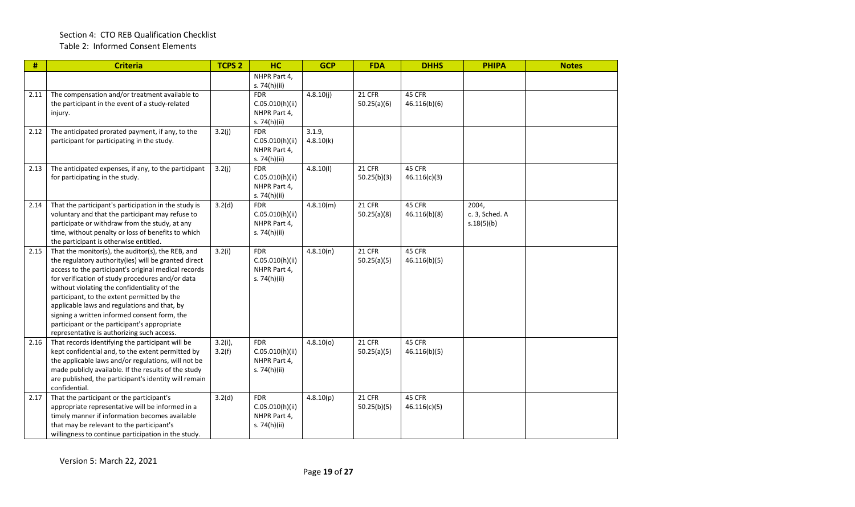| #    | <b>Criteria</b>                                                                                                                                                                                                                                                                                                                                                                                                                                                                                                    | <b>TCPS 2</b>        | <b>HC</b>                                                     | <b>GCP</b>          | <b>FDA</b>                   | <b>DHHS</b>            | <b>PHIPA</b>                          | <b>Notes</b> |
|------|--------------------------------------------------------------------------------------------------------------------------------------------------------------------------------------------------------------------------------------------------------------------------------------------------------------------------------------------------------------------------------------------------------------------------------------------------------------------------------------------------------------------|----------------------|---------------------------------------------------------------|---------------------|------------------------------|------------------------|---------------------------------------|--------------|
|      |                                                                                                                                                                                                                                                                                                                                                                                                                                                                                                                    |                      | NHPR Part 4,<br>s. 74(h)(ii)                                  |                     |                              |                        |                                       |              |
| 2.11 | The compensation and/or treatment available to<br>the participant in the event of a study-related<br>injury.                                                                                                                                                                                                                                                                                                                                                                                                       |                      | <b>FDR</b><br>C.05.010(h)(ii)<br>NHPR Part 4,<br>s. 74(h)(ii) | 4.8.10(j)           | 21 CFR<br>50.25(a)(6)        | 45 CFR<br>46.116(b)(6) |                                       |              |
| 2.12 | The anticipated prorated payment, if any, to the<br>participant for participating in the study.                                                                                                                                                                                                                                                                                                                                                                                                                    | 3.2(j)               | <b>FDR</b><br>C.05.010(h)(ii)<br>NHPR Part 4,<br>s. 74(h)(ii) | 3.1.9,<br>4.8.10(k) |                              |                        |                                       |              |
| 2.13 | The anticipated expenses, if any, to the participant<br>for participating in the study.                                                                                                                                                                                                                                                                                                                                                                                                                            | 3.2(j)               | <b>FDR</b><br>C.05.010(h)(ii)<br>NHPR Part 4,<br>s. 74(h)(ii) | 4.8.10(l)           | 21 CFR<br>50.25(b)(3)        | 45 CFR<br>46.116(c)(3) |                                       |              |
| 2.14 | That the participant's participation in the study is<br>voluntary and that the participant may refuse to<br>participate or withdraw from the study, at any<br>time, without penalty or loss of benefits to which<br>the participant is otherwise entitled.                                                                                                                                                                                                                                                         | 3.2(d)               | <b>FDR</b><br>C.05.010(h)(ii)<br>NHPR Part 4,<br>s. 74(h)(ii) | 4.8.10(m)           | 21 CFR<br>50.25(a)(8)        | 45 CFR<br>46.116(b)(8) | 2004,<br>c. 3, Sched. A<br>s.18(5)(b) |              |
| 2.15 | That the monitor(s), the auditor(s), the REB, and<br>the regulatory authority(ies) will be granted direct<br>access to the participant's original medical records<br>for verification of study procedures and/or data<br>without violating the confidentiality of the<br>participant, to the extent permitted by the<br>applicable laws and regulations and that, by<br>signing a written informed consent form, the<br>participant or the participant's appropriate<br>representative is authorizing such access. | 3.2(i)               | <b>FDR</b><br>C.05.010(h)(ii)<br>NHPR Part 4,<br>s. 74(h)(ii) | 4.8.10(n)           | <b>21 CFR</b><br>50.25(a)(5) | 45 CFR<br>46.116(b)(5) |                                       |              |
| 2.16 | That records identifying the participant will be<br>kept confidential and, to the extent permitted by<br>the applicable laws and/or regulations, will not be<br>made publicly available. If the results of the study<br>are published, the participant's identity will remain<br>confidential.                                                                                                                                                                                                                     | $3.2(i)$ ,<br>3.2(f) | <b>FDR</b><br>C.05.010(h)(ii)<br>NHPR Part 4,<br>s. 74(h)(ii) | 4.8.10(0)           | 21 CFR<br>50.25(a)(5)        | 45 CFR<br>46.116(b)(5) |                                       |              |
| 2.17 | That the participant or the participant's<br>appropriate representative will be informed in a<br>timely manner if information becomes available<br>that may be relevant to the participant's<br>willingness to continue participation in the study.                                                                                                                                                                                                                                                                | 3.2(d)               | <b>FDR</b><br>C.05.010(h)(ii)<br>NHPR Part 4,<br>s. 74(h)(ii) | 4.8.10(p)           | 21 CFR<br>50.25(b)(5)        | 45 CFR<br>46.116(c)(5) |                                       |              |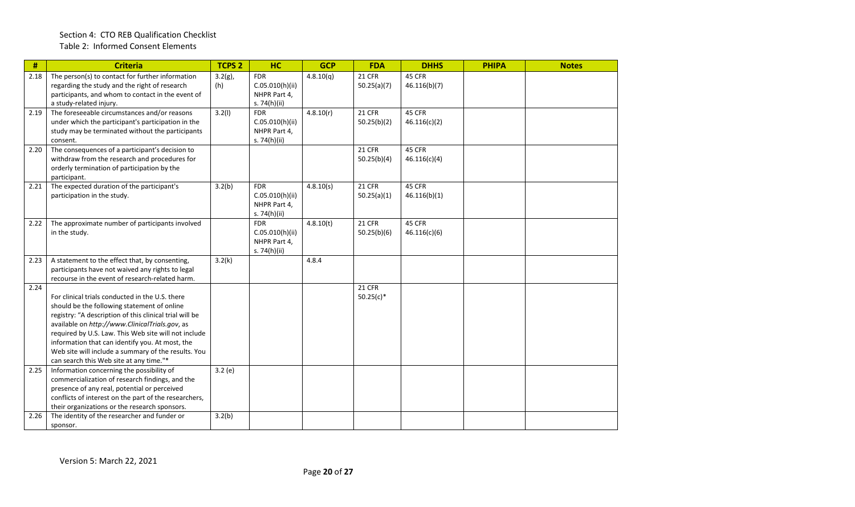| $\#$ | <b>Criteria</b>                                                                                                                                                                                                                                                                                                                                                                                                          | <b>TCPS 2</b>     | HC                                                            | <b>GCP</b>             | <b>FDA</b>                   | <b>DHHS</b>            | <b>PHIPA</b> | <b>Notes</b> |
|------|--------------------------------------------------------------------------------------------------------------------------------------------------------------------------------------------------------------------------------------------------------------------------------------------------------------------------------------------------------------------------------------------------------------------------|-------------------|---------------------------------------------------------------|------------------------|------------------------------|------------------------|--------------|--------------|
| 2.18 | The person(s) to contact for further information<br>regarding the study and the right of research<br>participants, and whom to contact in the event of<br>a study-related injury.                                                                                                                                                                                                                                        | $3.2(g)$ ,<br>(h) | <b>FDR</b><br>C.05.010(h)(ii)<br>NHPR Part 4,<br>s. 74(h)(ii) | $\overline{4.8.10}(q)$ | <b>21 CFR</b><br>50.25(a)(7) | 45 CFR<br>46.116(b)(7) |              |              |
| 2.19 | The foreseeable circumstances and/or reasons<br>under which the participant's participation in the<br>study may be terminated without the participants<br>consent.                                                                                                                                                                                                                                                       | 3.2(1)            | <b>FDR</b><br>C.05.010(h)(ii)<br>NHPR Part 4,<br>s. 74(h)(ii) | 4.8.10(r)              | 21 CFR<br>50.25(b)(2)        | 45 CFR<br>46.116(c)(2) |              |              |
| 2.20 | The consequences of a participant's decision to<br>withdraw from the research and procedures for<br>orderly termination of participation by the<br>participant.                                                                                                                                                                                                                                                          |                   |                                                               |                        | 21 CFR<br>50.25(b)(4)        | 45 CFR<br>46.116(c)(4) |              |              |
| 2.21 | The expected duration of the participant's<br>participation in the study.                                                                                                                                                                                                                                                                                                                                                | 3.2(b)            | <b>FDR</b><br>C.05.010(h)(ii)<br>NHPR Part 4,<br>s. 74(h)(ii) | 4.8.10(s)              | 21 CFR<br>50.25(a)(1)        | 45 CFR<br>46.116(b)(1) |              |              |
| 2.22 | The approximate number of participants involved<br>in the study.                                                                                                                                                                                                                                                                                                                                                         |                   | <b>FDR</b><br>C.05.010(h)(ii)<br>NHPR Part 4,<br>s. 74(h)(ii) | 4.8.10(t)              | 21 CFR<br>50.25(b)(6)        | 45 CFR<br>46.116(c)(6) |              |              |
| 2.23 | A statement to the effect that, by consenting,<br>participants have not waived any rights to legal<br>recourse in the event of research-related harm.                                                                                                                                                                                                                                                                    | 3.2(k)            |                                                               | 4.8.4                  |                              |                        |              |              |
| 2.24 | For clinical trials conducted in the U.S. there<br>should be the following statement of online<br>registry: "A description of this clinical trial will be<br>available on http://www.ClinicalTrials.gov, as<br>required by U.S. Law. This Web site will not include<br>information that can identify you. At most, the<br>Web site will include a summary of the results. You<br>can search this Web site at any time."* |                   |                                                               |                        | <b>21 CFR</b><br>$50.25(c)*$ |                        |              |              |
| 2.25 | Information concerning the possibility of<br>commercialization of research findings, and the<br>presence of any real, potential or perceived<br>conflicts of interest on the part of the researchers,<br>their organizations or the research sponsors.                                                                                                                                                                   | 3.2(e)            |                                                               |                        |                              |                        |              |              |
| 2.26 | The identity of the researcher and funder or<br>sponsor.                                                                                                                                                                                                                                                                                                                                                                 | 3.2(b)            |                                                               |                        |                              |                        |              |              |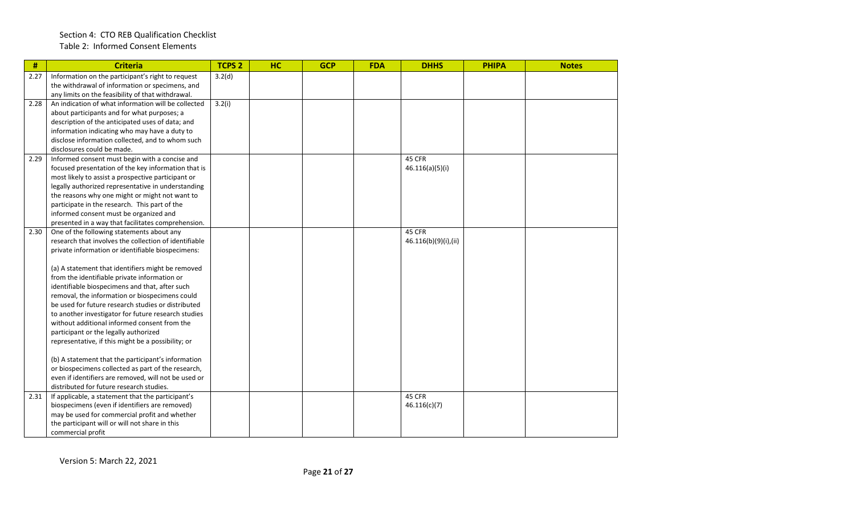## Section 4: CTO REB Qualification Checklist Table 2: Informed Consent Elements

| $\pmb{\#}$ | <b>Criteria</b>                                                                                          | <b>TCPS 2</b> | HC | <b>GCP</b> | <b>FDA</b> | <b>DHHS</b>          | <b>PHIPA</b> | <b>Notes</b> |
|------------|----------------------------------------------------------------------------------------------------------|---------------|----|------------|------------|----------------------|--------------|--------------|
| 2.27       | Information on the participant's right to request                                                        | 3.2(d)        |    |            |            |                      |              |              |
|            | the withdrawal of information or specimens, and                                                          |               |    |            |            |                      |              |              |
|            | any limits on the feasibility of that withdrawal.                                                        |               |    |            |            |                      |              |              |
| 2.28       | An indication of what information will be collected                                                      | 3.2(i)        |    |            |            |                      |              |              |
|            | about participants and for what purposes; a                                                              |               |    |            |            |                      |              |              |
|            | description of the anticipated uses of data; and                                                         |               |    |            |            |                      |              |              |
|            | information indicating who may have a duty to                                                            |               |    |            |            |                      |              |              |
|            | disclose information collected, and to whom such                                                         |               |    |            |            |                      |              |              |
|            | disclosures could be made.                                                                               |               |    |            |            |                      |              |              |
| 2.29       | Informed consent must begin with a concise and                                                           |               |    |            |            | 45 CFR               |              |              |
|            | focused presentation of the key information that is                                                      |               |    |            |            | 46.116(a)(5)(i)      |              |              |
|            | most likely to assist a prospective participant or                                                       |               |    |            |            |                      |              |              |
|            | legally authorized representative in understanding                                                       |               |    |            |            |                      |              |              |
|            | the reasons why one might or might not want to                                                           |               |    |            |            |                      |              |              |
|            | participate in the research. This part of the                                                            |               |    |            |            |                      |              |              |
|            | informed consent must be organized and                                                                   |               |    |            |            |                      |              |              |
|            | presented in a way that facilitates comprehension.                                                       |               |    |            |            |                      |              |              |
| 2.30       | One of the following statements about any                                                                |               |    |            |            | 45 CFR               |              |              |
|            | research that involves the collection of identifiable                                                    |               |    |            |            | 46.116(b)(9)(i),(ii) |              |              |
|            | private information or identifiable biospecimens:                                                        |               |    |            |            |                      |              |              |
|            |                                                                                                          |               |    |            |            |                      |              |              |
|            | (a) A statement that identifiers might be removed                                                        |               |    |            |            |                      |              |              |
|            | from the identifiable private information or                                                             |               |    |            |            |                      |              |              |
|            | identifiable biospecimens and that, after such                                                           |               |    |            |            |                      |              |              |
|            | removal, the information or biospecimens could                                                           |               |    |            |            |                      |              |              |
|            | be used for future research studies or distributed                                                       |               |    |            |            |                      |              |              |
|            | to another investigator for future research studies                                                      |               |    |            |            |                      |              |              |
|            | without additional informed consent from the                                                             |               |    |            |            |                      |              |              |
|            | participant or the legally authorized                                                                    |               |    |            |            |                      |              |              |
|            | representative, if this might be a possibility; or                                                       |               |    |            |            |                      |              |              |
|            |                                                                                                          |               |    |            |            |                      |              |              |
|            | (b) A statement that the participant's information<br>or biospecimens collected as part of the research, |               |    |            |            |                      |              |              |
|            | even if identifiers are removed, will not be used or                                                     |               |    |            |            |                      |              |              |
|            | distributed for future research studies.                                                                 |               |    |            |            |                      |              |              |
| 2.31       | If applicable, a statement that the participant's                                                        |               |    |            |            | 45 CFR               |              |              |
|            | biospecimens (even if identifiers are removed)                                                           |               |    |            |            | 46.116(c)(7)         |              |              |
|            | may be used for commercial profit and whether                                                            |               |    |            |            |                      |              |              |
|            | the participant will or will not share in this                                                           |               |    |            |            |                      |              |              |
|            |                                                                                                          |               |    |            |            |                      |              |              |
|            | commercial profit                                                                                        |               |    |            |            |                      |              |              |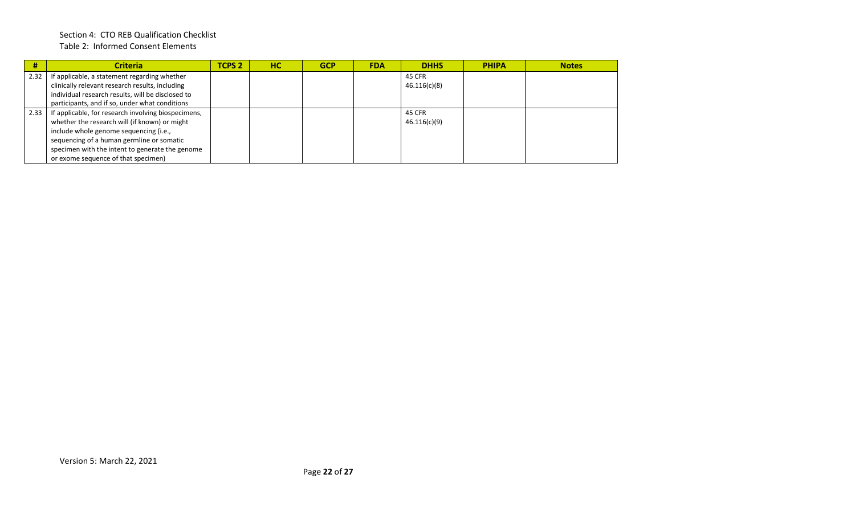## Section 4: CTO REB Qualification Checklist Table 2: Informed Consent Elements

| #    | <b>Criteria</b>                                     | TCPS <sub>2</sub> | <b>HC</b> | <b>GCP</b> | <b>FDA</b> | <b>DHHS</b>  | <b>PHIPA</b> | <b>Notes</b> |
|------|-----------------------------------------------------|-------------------|-----------|------------|------------|--------------|--------------|--------------|
| 2.32 | If applicable, a statement regarding whether        |                   |           |            |            | 45 CFR       |              |              |
|      | clinically relevant research results, including     |                   |           |            |            | 46.116(c)(8) |              |              |
|      | individual research results, will be disclosed to   |                   |           |            |            |              |              |              |
|      | participants, and if so, under what conditions      |                   |           |            |            |              |              |              |
| 2.33 | If applicable, for research involving biospecimens, |                   |           |            |            | 45 CFR       |              |              |
|      | whether the research will (if known) or might       |                   |           |            |            | 46.116(c)(9) |              |              |
|      | include whole genome sequencing (i.e.,              |                   |           |            |            |              |              |              |
|      | sequencing of a human germline or somatic           |                   |           |            |            |              |              |              |
|      | specimen with the intent to generate the genome     |                   |           |            |            |              |              |              |
|      | or exome sequence of that specimen)                 |                   |           |            |            |              |              |              |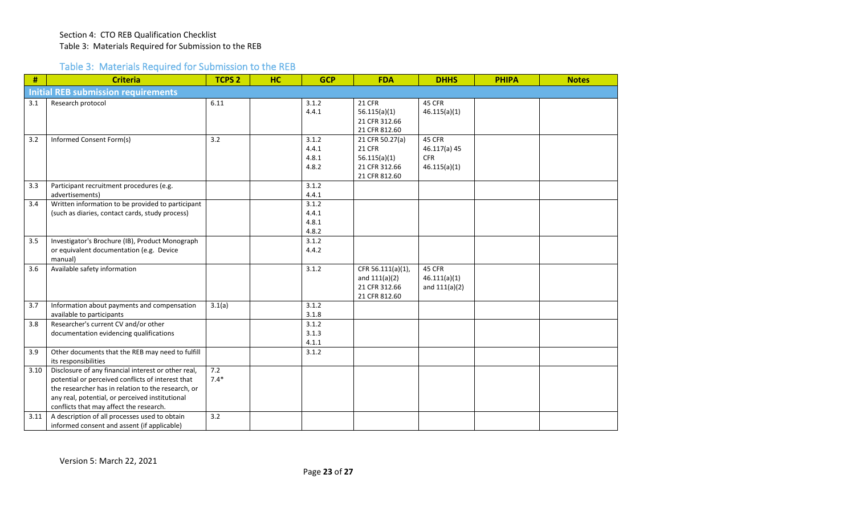## Table 3: Materials Required for Submission to the REB

| #    | <b>Criteria</b>                                                                                                                                                                                                                                              | <b>TCPS 2</b> | HC | <b>GCP</b>                       | <b>FDA</b>                                                                         | <b>DHHS</b>                                          | <b>PHIPA</b> | <b>Notes</b> |
|------|--------------------------------------------------------------------------------------------------------------------------------------------------------------------------------------------------------------------------------------------------------------|---------------|----|----------------------------------|------------------------------------------------------------------------------------|------------------------------------------------------|--------------|--------------|
|      | <b>Initial REB submission requirements</b>                                                                                                                                                                                                                   |               |    |                                  |                                                                                    |                                                      |              |              |
| 3.1  | Research protocol                                                                                                                                                                                                                                            | 6.11          |    | 3.1.2<br>4.4.1                   | <b>21 CFR</b><br>56.115(a)(1)<br>21 CFR 312.66<br>21 CFR 812.60                    | 45 CFR<br>46.115(a)(1)                               |              |              |
| 3.2  | Informed Consent Form(s)                                                                                                                                                                                                                                     | 3.2           |    | 3.1.2<br>4.4.1<br>4.8.1<br>4.8.2 | 21 CFR 50.27(a)<br><b>21 CFR</b><br>56.115(a)(1)<br>21 CFR 312.66<br>21 CFR 812.60 | 45 CFR<br>46.117(a) 45<br><b>CFR</b><br>46.115(a)(1) |              |              |
| 3.3  | Participant recruitment procedures (e.g.<br>advertisements)                                                                                                                                                                                                  |               |    | 3.1.2<br>4.4.1                   |                                                                                    |                                                      |              |              |
| 3.4  | Written information to be provided to participant<br>(such as diaries, contact cards, study process)                                                                                                                                                         |               |    | 3.1.2<br>4.4.1<br>4.8.1<br>4.8.2 |                                                                                    |                                                      |              |              |
| 3.5  | Investigator's Brochure (IB), Product Monograph<br>or equivalent documentation (e.g. Device<br>manual)                                                                                                                                                       |               |    | 3.1.2<br>4.4.2                   |                                                                                    |                                                      |              |              |
| 3.6  | Available safety information                                                                                                                                                                                                                                 |               |    | 3.1.2                            | CFR 56.111(a)(1),<br>and $111(a)(2)$<br>21 CFR 312.66<br>21 CFR 812.60             | 45 CFR<br>46.111(a)(1)<br>and $111(a)(2)$            |              |              |
| 3.7  | Information about payments and compensation<br>available to participants                                                                                                                                                                                     | 3.1(a)        |    | 3.1.2<br>3.1.8                   |                                                                                    |                                                      |              |              |
| 3.8  | Researcher's current CV and/or other<br>documentation evidencing qualifications                                                                                                                                                                              |               |    | 3.1.2<br>3.1.3<br>4.1.1          |                                                                                    |                                                      |              |              |
| 3.9  | Other documents that the REB may need to fulfill<br>its responsibilities                                                                                                                                                                                     |               |    | 3.1.2                            |                                                                                    |                                                      |              |              |
| 3.10 | Disclosure of any financial interest or other real,<br>potential or perceived conflicts of interest that<br>the researcher has in relation to the research, or<br>any real, potential, or perceived institutional<br>conflicts that may affect the research. | 7.2<br>$7.4*$ |    |                                  |                                                                                    |                                                      |              |              |
| 3.11 | A description of all processes used to obtain<br>informed consent and assent (if applicable)                                                                                                                                                                 | 3.2           |    |                                  |                                                                                    |                                                      |              |              |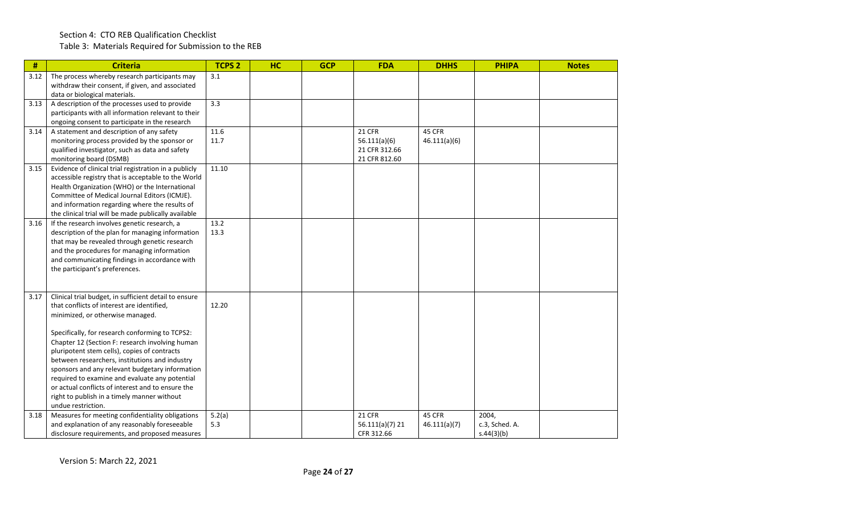Table 3: Materials Required for Submission to the REB

| #    | <b>Criteria</b>                                                                                   | <b>TCPS 2</b> | HC | <b>GCP</b> | <b>FDA</b>                     | <b>DHHS</b>  | <b>PHIPA</b>   | <b>Notes</b> |
|------|---------------------------------------------------------------------------------------------------|---------------|----|------------|--------------------------------|--------------|----------------|--------------|
| 3.12 | The process whereby research participants may                                                     | 3.1           |    |            |                                |              |                |              |
|      | withdraw their consent, if given, and associated<br>data or biological materials.                 |               |    |            |                                |              |                |              |
| 3.13 | A description of the processes used to provide                                                    | 3.3           |    |            |                                |              |                |              |
|      | participants with all information relevant to their                                               |               |    |            |                                |              |                |              |
|      | ongoing consent to participate in the research                                                    |               |    |            |                                |              |                |              |
| 3.14 | A statement and description of any safety                                                         | 11.6          |    |            | <b>21 CFR</b>                  | 45 CFR       |                |              |
|      | monitoring process provided by the sponsor or                                                     | 11.7          |    |            | 56.111(a)(6)                   | 46.111(a)(6) |                |              |
|      | qualified investigator, such as data and safety<br>monitoring board (DSMB)                        |               |    |            | 21 CFR 312.66<br>21 CFR 812.60 |              |                |              |
| 3.15 | Evidence of clinical trial registration in a publicly                                             | 11.10         |    |            |                                |              |                |              |
|      | accessible registry that is acceptable to the World                                               |               |    |            |                                |              |                |              |
|      | Health Organization (WHO) or the International                                                    |               |    |            |                                |              |                |              |
|      | Committee of Medical Journal Editors (ICMJE).                                                     |               |    |            |                                |              |                |              |
|      | and information regarding where the results of                                                    |               |    |            |                                |              |                |              |
|      | the clinical trial will be made publically available                                              |               |    |            |                                |              |                |              |
| 3.16 | If the research involves genetic research, a                                                      | 13.2          |    |            |                                |              |                |              |
|      | description of the plan for managing information<br>that may be revealed through genetic research | 13.3          |    |            |                                |              |                |              |
|      | and the procedures for managing information                                                       |               |    |            |                                |              |                |              |
|      | and communicating findings in accordance with                                                     |               |    |            |                                |              |                |              |
|      | the participant's preferences.                                                                    |               |    |            |                                |              |                |              |
|      |                                                                                                   |               |    |            |                                |              |                |              |
| 3.17 | Clinical trial budget, in sufficient detail to ensure                                             |               |    |            |                                |              |                |              |
|      | that conflicts of interest are identified,                                                        | 12.20         |    |            |                                |              |                |              |
|      | minimized, or otherwise managed.                                                                  |               |    |            |                                |              |                |              |
|      |                                                                                                   |               |    |            |                                |              |                |              |
|      | Specifically, for research conforming to TCPS2:                                                   |               |    |            |                                |              |                |              |
|      | Chapter 12 (Section F: research involving human                                                   |               |    |            |                                |              |                |              |
|      | pluripotent stem cells), copies of contracts                                                      |               |    |            |                                |              |                |              |
|      | between researchers, institutions and industry                                                    |               |    |            |                                |              |                |              |
|      | sponsors and any relevant budgetary information<br>required to examine and evaluate any potential |               |    |            |                                |              |                |              |
|      | or actual conflicts of interest and to ensure the                                                 |               |    |            |                                |              |                |              |
|      | right to publish in a timely manner without                                                       |               |    |            |                                |              |                |              |
|      | undue restriction.                                                                                |               |    |            |                                |              |                |              |
| 3.18 | Measures for meeting confidentiality obligations                                                  | 5.2(a)        |    |            | <b>21 CFR</b>                  | 45 CFR       | 2004,          |              |
|      | and explanation of any reasonably foreseeable                                                     | 5.3           |    |            | $56.111(a)(7)$ 21              | 46.111(a)(7) | c.3, Sched. A. |              |
|      | disclosure requirements, and proposed measures                                                    |               |    |            | CFR 312.66                     |              | s.44(3)(b)     |              |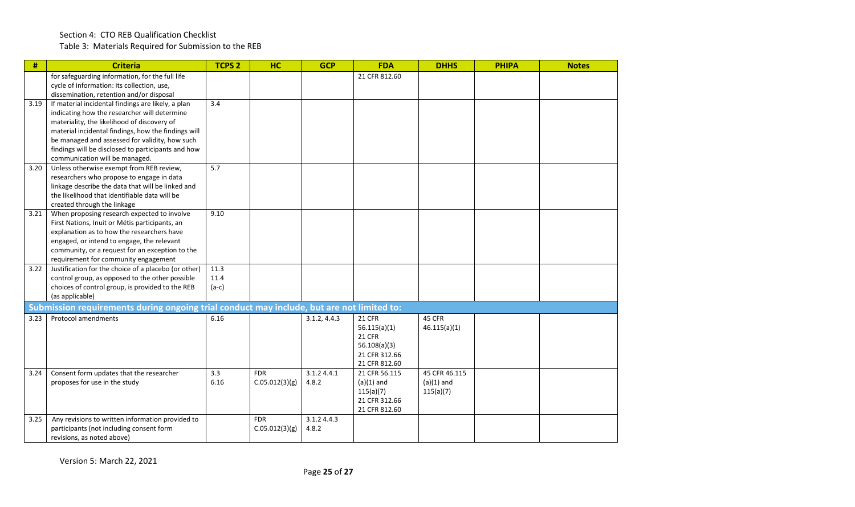Table 3: Materials Required for Submission to the REB

| #    | <b>Criteria</b>                                                                           | <b>TCPS 2</b> | <b>HC</b>      | <b>GCP</b>   | <b>FDA</b>    | <b>DHHS</b>   | <b>PHIPA</b> | <b>Notes</b> |
|------|-------------------------------------------------------------------------------------------|---------------|----------------|--------------|---------------|---------------|--------------|--------------|
|      | for safeguarding information, for the full life                                           |               |                |              | 21 CFR 812.60 |               |              |              |
|      | cycle of information: its collection, use,                                                |               |                |              |               |               |              |              |
|      | dissemination, retention and/or disposal                                                  |               |                |              |               |               |              |              |
| 3.19 | If material incidental findings are likely, a plan                                        | 3.4           |                |              |               |               |              |              |
|      | indicating how the researcher will determine                                              |               |                |              |               |               |              |              |
|      | materiality, the likelihood of discovery of                                               |               |                |              |               |               |              |              |
|      | material incidental findings, how the findings will                                       |               |                |              |               |               |              |              |
|      | be managed and assessed for validity, how such                                            |               |                |              |               |               |              |              |
|      | findings will be disclosed to participants and how                                        |               |                |              |               |               |              |              |
|      | communication will be managed.                                                            |               |                |              |               |               |              |              |
| 3.20 | Unless otherwise exempt from REB review,                                                  | 5.7           |                |              |               |               |              |              |
|      | researchers who propose to engage in data                                                 |               |                |              |               |               |              |              |
|      | linkage describe the data that will be linked and                                         |               |                |              |               |               |              |              |
|      | the likelihood that identifiable data will be                                             |               |                |              |               |               |              |              |
|      | created through the linkage                                                               |               |                |              |               |               |              |              |
| 3.21 | When proposing research expected to involve                                               | 9.10          |                |              |               |               |              |              |
|      | First Nations, Inuit or Métis participants, an                                            |               |                |              |               |               |              |              |
|      | explanation as to how the researchers have                                                |               |                |              |               |               |              |              |
|      | engaged, or intend to engage, the relevant                                                |               |                |              |               |               |              |              |
|      | community, or a request for an exception to the                                           |               |                |              |               |               |              |              |
|      | requirement for community engagement                                                      |               |                |              |               |               |              |              |
| 3.22 | Justification for the choice of a placebo (or other)                                      | 11.3          |                |              |               |               |              |              |
|      | control group, as opposed to the other possible                                           | 11.4          |                |              |               |               |              |              |
|      | choices of control group, is provided to the REB                                          | $(a-c)$       |                |              |               |               |              |              |
|      | (as applicable)                                                                           |               |                |              |               |               |              |              |
|      | Submission requirements during ongoing trial conduct may include, but are not limited to: |               |                |              |               |               |              |              |
| 3.23 | <b>Protocol amendments</b>                                                                | 6.16          |                | 3.1.2, 4.4.3 | <b>21 CFR</b> | 45 CFR        |              |              |
|      |                                                                                           |               |                |              | 56.115(a)(1)  | 46.115(a)(1)  |              |              |
|      |                                                                                           |               |                |              | 21 CFR        |               |              |              |
|      |                                                                                           |               |                |              | 56.108(a)(3)  |               |              |              |
|      |                                                                                           |               |                |              | 21 CFR 312.66 |               |              |              |
|      |                                                                                           |               |                |              | 21 CFR 812.60 |               |              |              |
| 3.24 | Consent form updates that the researcher                                                  | 3.3           | <b>FDR</b>     | 3.1.24.4.1   | 21 CFR 56.115 | 45 CFR 46.115 |              |              |
|      | proposes for use in the study                                                             | 6.16          | C.05.012(3)(g) | 4.8.2        | $(a)(1)$ and  | $(a)(1)$ and  |              |              |
|      |                                                                                           |               |                |              | 115(a)(7)     | 115(a)(7)     |              |              |
|      |                                                                                           |               |                |              | 21 CFR 312.66 |               |              |              |
|      |                                                                                           |               |                |              | 21 CFR 812.60 |               |              |              |
| 3.25 | Any revisions to written information provided to                                          |               | <b>FDR</b>     | 3.1.2 4.4.3  |               |               |              |              |
|      | participants (not including consent form                                                  |               | C.05.012(3)(g) | 4.8.2        |               |               |              |              |
|      | revisions, as noted above)                                                                |               |                |              |               |               |              |              |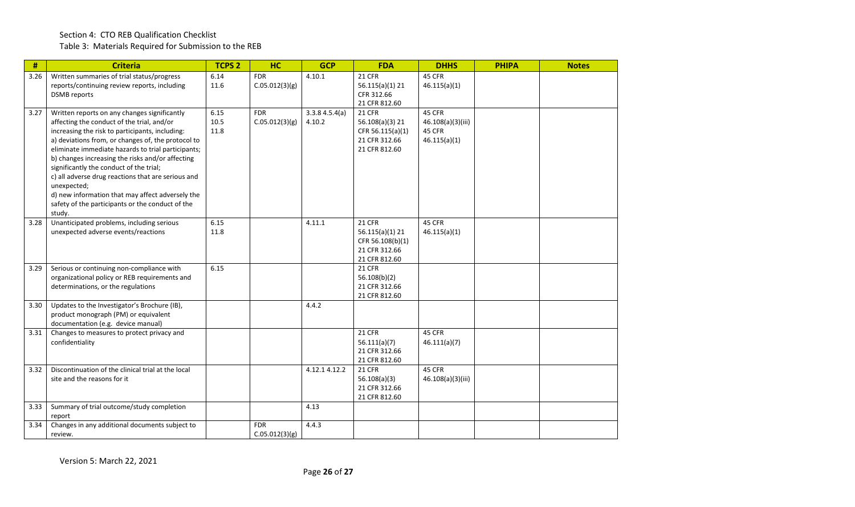## Section 4: CTO REB Qualification Checklist Table 3: Materials Required for Submission to the REB

| #    | <b>Criteria</b>                                                                                                                                                                                                                                                                                                                                                                                                                                                                                                                                 | <b>TCPS 2</b>        | <b>HC</b>                    | <b>GCP</b>              | <b>FDA</b>                                                                             | <b>DHHS</b>                                           | <b>PHIPA</b> | <b>Notes</b> |
|------|-------------------------------------------------------------------------------------------------------------------------------------------------------------------------------------------------------------------------------------------------------------------------------------------------------------------------------------------------------------------------------------------------------------------------------------------------------------------------------------------------------------------------------------------------|----------------------|------------------------------|-------------------------|----------------------------------------------------------------------------------------|-------------------------------------------------------|--------------|--------------|
| 3.26 | Written summaries of trial status/progress<br>reports/continuing review reports, including<br><b>DSMB</b> reports                                                                                                                                                                                                                                                                                                                                                                                                                               | 6.14<br>11.6         | <b>FDR</b><br>C.05.012(3)(g) | 4.10.1                  | $21$ CFR<br>$56.115(a)(1)$ 21<br>CFR 312.66<br>21 CFR 812.60                           | 45 CFR<br>46.115(a)(1)                                |              |              |
| 3.27 | Written reports on any changes significantly<br>affecting the conduct of the trial, and/or<br>increasing the risk to participants, including:<br>a) deviations from, or changes of, the protocol to<br>eliminate immediate hazards to trial participants;<br>b) changes increasing the risks and/or affecting<br>significantly the conduct of the trial;<br>c) all adverse drug reactions that are serious and<br>unexpected;<br>d) new information that may affect adversely the<br>safety of the participants or the conduct of the<br>study. | 6.15<br>10.5<br>11.8 | <b>FDR</b><br>C.05.012(3)(g) | 3.3.84.5.4(a)<br>4.10.2 | <b>21 CFR</b><br>56.108(a)(3) 21<br>CFR 56.115(a)(1)<br>21 CFR 312.66<br>21 CFR 812.60 | 45 CFR<br>46.108(a)(3)(iii)<br>45 CFR<br>46.115(a)(1) |              |              |
| 3.28 | Unanticipated problems, including serious<br>unexpected adverse events/reactions                                                                                                                                                                                                                                                                                                                                                                                                                                                                | 6.15<br>11.8         |                              | 4.11.1                  | 21 CFR<br>$56.115(a)(1)$ 21<br>CFR 56.108(b)(1)<br>21 CFR 312.66<br>21 CFR 812.60      | 45 CFR<br>46.115(a)(1)                                |              |              |
| 3.29 | Serious or continuing non-compliance with<br>organizational policy or REB requirements and<br>determinations, or the regulations                                                                                                                                                                                                                                                                                                                                                                                                                | 6.15                 |                              |                         | <b>21 CFR</b><br>56.108(b)(2)<br>21 CFR 312.66<br>21 CFR 812.60                        |                                                       |              |              |
| 3.30 | Updates to the Investigator's Brochure (IB),<br>product monograph (PM) or equivalent<br>documentation (e.g. device manual)                                                                                                                                                                                                                                                                                                                                                                                                                      |                      |                              | 4.4.2                   |                                                                                        |                                                       |              |              |
| 3.31 | Changes to measures to protect privacy and<br>confidentiality                                                                                                                                                                                                                                                                                                                                                                                                                                                                                   |                      |                              |                         | 21 CFR<br>56.111(a)(7)<br>21 CFR 312.66<br>21 CFR 812.60                               | 45 CFR<br>46.111(a)(7)                                |              |              |
| 3.32 | Discontinuation of the clinical trial at the local<br>site and the reasons for it                                                                                                                                                                                                                                                                                                                                                                                                                                                               |                      |                              | 4.12.1 4.12.2           | <b>21 CFR</b><br>56.108(a)(3)<br>21 CFR 312.66<br>21 CFR 812.60                        | 45 CFR<br>46.108(a)(3)(iii)                           |              |              |
| 3.33 | Summary of trial outcome/study completion<br>report                                                                                                                                                                                                                                                                                                                                                                                                                                                                                             |                      |                              | 4.13                    |                                                                                        |                                                       |              |              |
| 3.34 | Changes in any additional documents subject to<br>review.                                                                                                                                                                                                                                                                                                                                                                                                                                                                                       |                      | <b>FDR</b><br>C.05.012(3)(g) | 4.4.3                   |                                                                                        |                                                       |              |              |